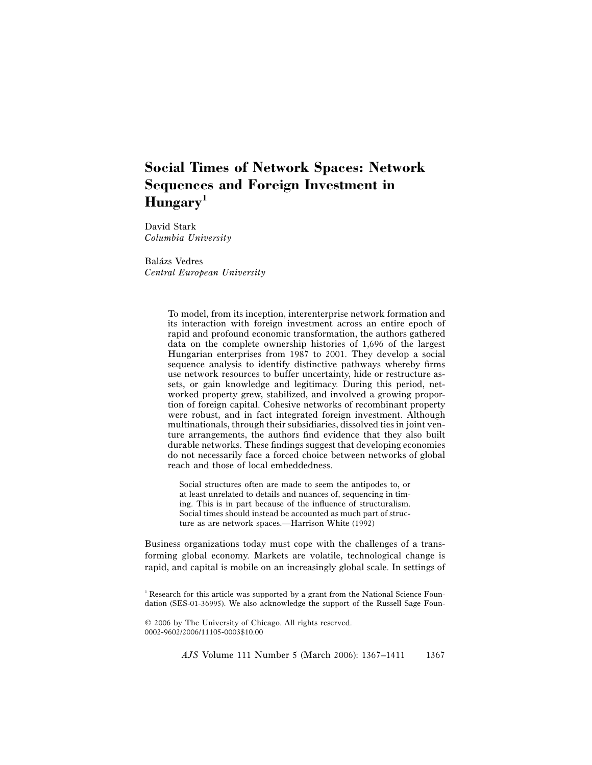# **Social Times of Network Spaces: Network Sequences and Foreign Investment in Hungary1**

David Stark *Columbia University*

Balázs Vedres *Central European University*

> To model, from its inception, interenterprise network formation and its interaction with foreign investment across an entire epoch of rapid and profound economic transformation, the authors gathered data on the complete ownership histories of 1,696 of the largest Hungarian enterprises from 1987 to 2001. They develop a social sequence analysis to identify distinctive pathways whereby firms use network resources to buffer uncertainty, hide or restructure assets, or gain knowledge and legitimacy. During this period, networked property grew, stabilized, and involved a growing proportion of foreign capital. Cohesive networks of recombinant property were robust, and in fact integrated foreign investment. Although multinationals, through their subsidiaries, dissolved ties in joint venture arrangements, the authors find evidence that they also built durable networks. These findings suggest that developing economies do not necessarily face a forced choice between networks of global reach and those of local embeddedness.

Social structures often are made to seem the antipodes to, or at least unrelated to details and nuances of, sequencing in timing. This is in part because of the influence of structuralism. Social times should instead be accounted as much part of structure as are network spaces.—Harrison White (1992)

Business organizations today must cope with the challenges of a transforming global economy. Markets are volatile, technological change is rapid, and capital is mobile on an increasingly global scale. In settings of

<sup>1</sup> Research for this article was supported by a grant from the National Science Foundation (SES-01-36995). We also acknowledge the support of the Russell Sage Foun-

 2006 by The University of Chicago. All rights reserved. 0002-9602/2006/11105-0003\$10.00

*AJS* Volume 111 Number 5 (March 2006): 1367–1411 1367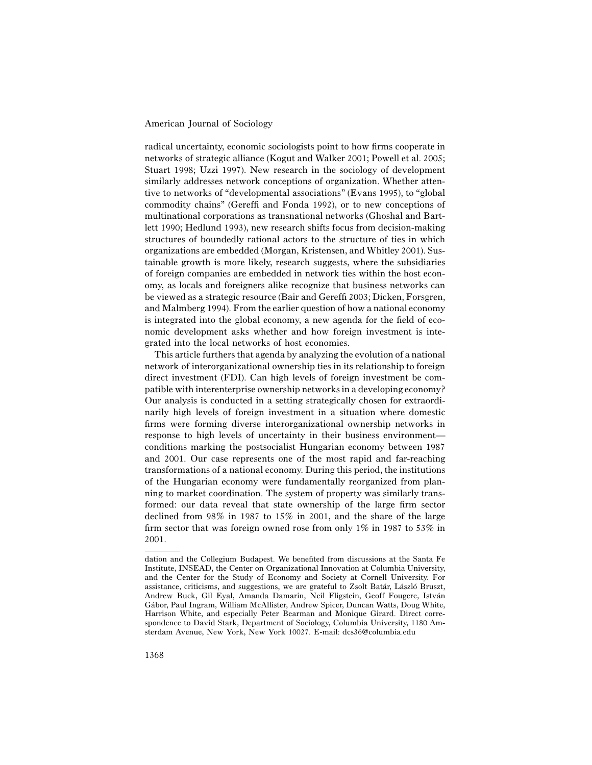radical uncertainty, economic sociologists point to how firms cooperate in networks of strategic alliance (Kogut and Walker 2001; Powell et al. 2005; Stuart 1998; Uzzi 1997). New research in the sociology of development similarly addresses network conceptions of organization. Whether attentive to networks of "developmental associations" (Evans 1995), to "global commodity chains" (Gereffi and Fonda 1992), or to new conceptions of multinational corporations as transnational networks (Ghoshal and Bartlett 1990; Hedlund 1993), new research shifts focus from decision-making structures of boundedly rational actors to the structure of ties in which organizations are embedded (Morgan, Kristensen, and Whitley 2001). Sustainable growth is more likely, research suggests, where the subsidiaries of foreign companies are embedded in network ties within the host economy, as locals and foreigners alike recognize that business networks can be viewed as a strategic resource (Bair and Gereffi 2003; Dicken, Forsgren, and Malmberg 1994). From the earlier question of how a national economy is integrated into the global economy, a new agenda for the field of economic development asks whether and how foreign investment is integrated into the local networks of host economies.

This article furthers that agenda by analyzing the evolution of a national network of interorganizational ownership ties in its relationship to foreign direct investment (FDI). Can high levels of foreign investment be compatible with interenterprise ownership networks in a developing economy? Our analysis is conducted in a setting strategically chosen for extraordinarily high levels of foreign investment in a situation where domestic firms were forming diverse interorganizational ownership networks in response to high levels of uncertainty in their business environment conditions marking the postsocialist Hungarian economy between 1987 and 2001. Our case represents one of the most rapid and far-reaching transformations of a national economy. During this period, the institutions of the Hungarian economy were fundamentally reorganized from planning to market coordination. The system of property was similarly transformed: our data reveal that state ownership of the large firm sector declined from 98% in 1987 to 15% in 2001, and the share of the large firm sector that was foreign owned rose from only 1% in 1987 to 53% in 2001.

dation and the Collegium Budapest. We benefited from discussions at the Santa Fe Institute, INSEAD, the Center on Organizational Innovation at Columbia University, and the Center for the Study of Economy and Society at Cornell University. For assistance, criticisms, and suggestions, we are grateful to Zsolt Batár, László Bruszt, Andrew Buck, Gil Eyal, Amanda Damarin, Neil Fligstein, Geoff Fougere, István Gábor, Paul Ingram, William McAllister, Andrew Spicer, Duncan Watts, Doug White, Harrison White, and especially Peter Bearman and Monique Girard. Direct correspondence to David Stark, Department of Sociology, Columbia University, 1180 Amsterdam Avenue, New York, New York 10027. E-mail: dcs36@columbia.edu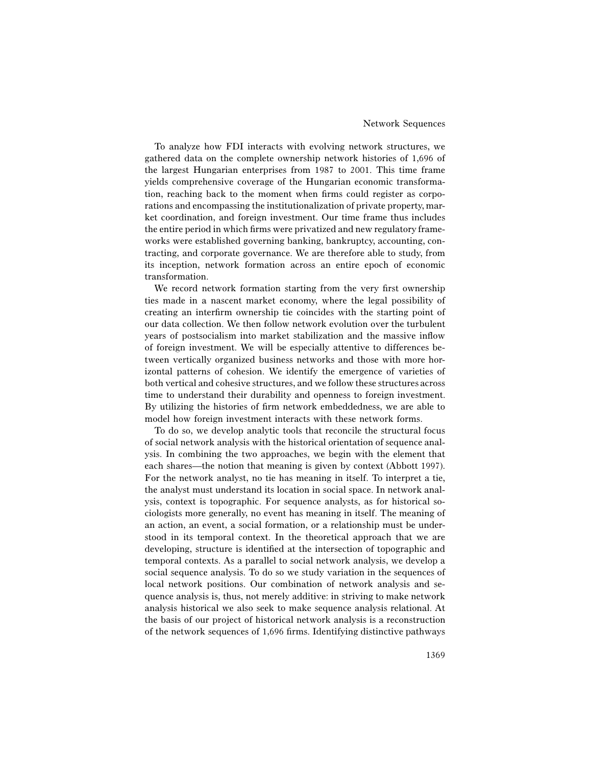#### Network Sequences

To analyze how FDI interacts with evolving network structures, we gathered data on the complete ownership network histories of 1,696 of the largest Hungarian enterprises from 1987 to 2001. This time frame yields comprehensive coverage of the Hungarian economic transformation, reaching back to the moment when firms could register as corporations and encompassing the institutionalization of private property, market coordination, and foreign investment. Our time frame thus includes the entire period in which firms were privatized and new regulatory frameworks were established governing banking, bankruptcy, accounting, contracting, and corporate governance. We are therefore able to study, from its inception, network formation across an entire epoch of economic transformation.

We record network formation starting from the very first ownership ties made in a nascent market economy, where the legal possibility of creating an interfirm ownership tie coincides with the starting point of our data collection. We then follow network evolution over the turbulent years of postsocialism into market stabilization and the massive inflow of foreign investment. We will be especially attentive to differences between vertically organized business networks and those with more horizontal patterns of cohesion. We identify the emergence of varieties of both vertical and cohesive structures, and we follow these structures across time to understand their durability and openness to foreign investment. By utilizing the histories of firm network embeddedness, we are able to model how foreign investment interacts with these network forms.

To do so, we develop analytic tools that reconcile the structural focus of social network analysis with the historical orientation of sequence analysis. In combining the two approaches, we begin with the element that each shares—the notion that meaning is given by context (Abbott 1997). For the network analyst, no tie has meaning in itself. To interpret a tie, the analyst must understand its location in social space. In network analysis, context is topographic. For sequence analysts, as for historical sociologists more generally, no event has meaning in itself. The meaning of an action, an event, a social formation, or a relationship must be understood in its temporal context. In the theoretical approach that we are developing, structure is identified at the intersection of topographic and temporal contexts. As a parallel to social network analysis, we develop a social sequence analysis. To do so we study variation in the sequences of local network positions. Our combination of network analysis and sequence analysis is, thus, not merely additive: in striving to make network analysis historical we also seek to make sequence analysis relational. At the basis of our project of historical network analysis is a reconstruction of the network sequences of 1,696 firms. Identifying distinctive pathways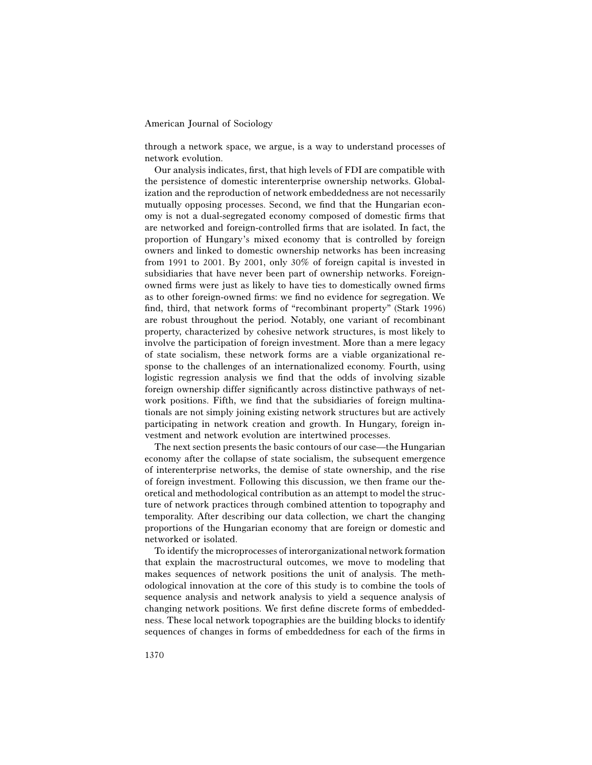through a network space, we argue, is a way to understand processes of network evolution.

Our analysis indicates, first, that high levels of FDI are compatible with the persistence of domestic interenterprise ownership networks. Globalization and the reproduction of network embeddedness are not necessarily mutually opposing processes. Second, we find that the Hungarian economy is not a dual-segregated economy composed of domestic firms that are networked and foreign-controlled firms that are isolated. In fact, the proportion of Hungary's mixed economy that is controlled by foreign owners and linked to domestic ownership networks has been increasing from 1991 to 2001. By 2001, only 30% of foreign capital is invested in subsidiaries that have never been part of ownership networks. Foreignowned firms were just as likely to have ties to domestically owned firms as to other foreign-owned firms: we find no evidence for segregation. We find, third, that network forms of "recombinant property" (Stark 1996) are robust throughout the period. Notably, one variant of recombinant property, characterized by cohesive network structures, is most likely to involve the participation of foreign investment. More than a mere legacy of state socialism, these network forms are a viable organizational response to the challenges of an internationalized economy. Fourth, using logistic regression analysis we find that the odds of involving sizable foreign ownership differ significantly across distinctive pathways of network positions. Fifth, we find that the subsidiaries of foreign multinationals are not simply joining existing network structures but are actively participating in network creation and growth. In Hungary, foreign investment and network evolution are intertwined processes.

The next section presents the basic contours of our case—the Hungarian economy after the collapse of state socialism, the subsequent emergence of interenterprise networks, the demise of state ownership, and the rise of foreign investment. Following this discussion, we then frame our theoretical and methodological contribution as an attempt to model the structure of network practices through combined attention to topography and temporality. After describing our data collection, we chart the changing proportions of the Hungarian economy that are foreign or domestic and networked or isolated.

To identify the microprocesses of interorganizational network formation that explain the macrostructural outcomes, we move to modeling that makes sequences of network positions the unit of analysis. The methodological innovation at the core of this study is to combine the tools of sequence analysis and network analysis to yield a sequence analysis of changing network positions. We first define discrete forms of embeddedness. These local network topographies are the building blocks to identify sequences of changes in forms of embeddedness for each of the firms in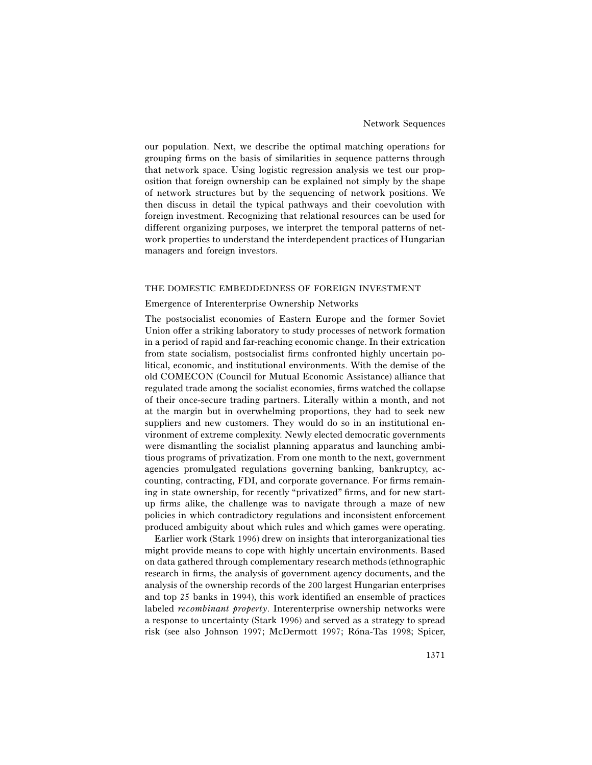our population. Next, we describe the optimal matching operations for grouping firms on the basis of similarities in sequence patterns through that network space. Using logistic regression analysis we test our proposition that foreign ownership can be explained not simply by the shape of network structures but by the sequencing of network positions. We then discuss in detail the typical pathways and their coevolution with foreign investment. Recognizing that relational resources can be used for different organizing purposes, we interpret the temporal patterns of network properties to understand the interdependent practices of Hungarian managers and foreign investors.

#### THE DOMESTIC EMBEDDEDNESS OF FOREIGN INVESTMENT

## Emergence of Interenterprise Ownership Networks

The postsocialist economies of Eastern Europe and the former Soviet Union offer a striking laboratory to study processes of network formation in a period of rapid and far-reaching economic change. In their extrication from state socialism, postsocialist firms confronted highly uncertain political, economic, and institutional environments. With the demise of the old COMECON (Council for Mutual Economic Assistance) alliance that regulated trade among the socialist economies, firms watched the collapse of their once-secure trading partners. Literally within a month, and not at the margin but in overwhelming proportions, they had to seek new suppliers and new customers. They would do so in an institutional environment of extreme complexity. Newly elected democratic governments were dismantling the socialist planning apparatus and launching ambitious programs of privatization. From one month to the next, government agencies promulgated regulations governing banking, bankruptcy, accounting, contracting, FDI, and corporate governance. For firms remaining in state ownership, for recently "privatized" firms, and for new startup firms alike, the challenge was to navigate through a maze of new policies in which contradictory regulations and inconsistent enforcement produced ambiguity about which rules and which games were operating.

Earlier work (Stark 1996) drew on insights that interorganizational ties might provide means to cope with highly uncertain environments. Based on data gathered through complementary research methods (ethnographic research in firms, the analysis of government agency documents, and the analysis of the ownership records of the 200 largest Hungarian enterprises and top 25 banks in 1994), this work identified an ensemble of practices labeled *recombinant property*. Interenterprise ownership networks were a response to uncertainty (Stark 1996) and served as a strategy to spread risk (see also Johnson 1997; McDermott 1997; Róna-Tas 1998; Spicer,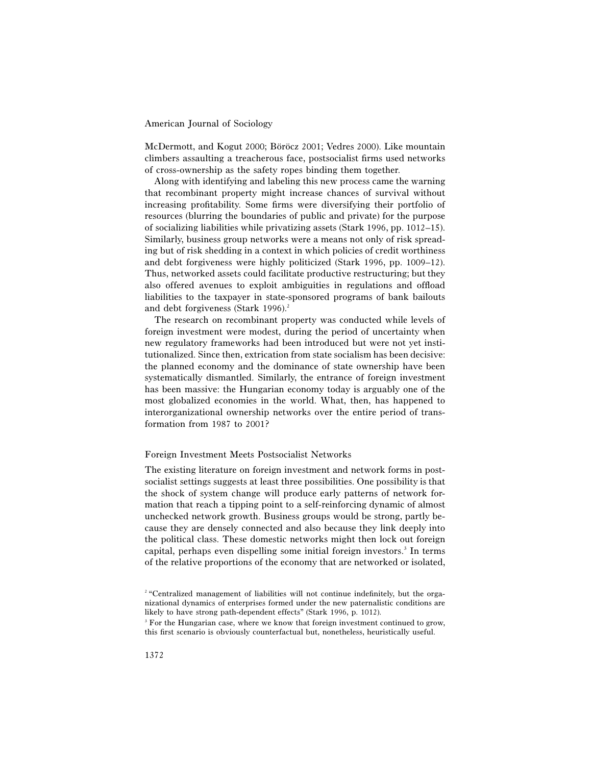McDermott, and Kogut 2000; Böröcz 2001; Vedres 2000). Like mountain climbers assaulting a treacherous face, postsocialist firms used networks of cross-ownership as the safety ropes binding them together.

Along with identifying and labeling this new process came the warning that recombinant property might increase chances of survival without increasing profitability. Some firms were diversifying their portfolio of resources (blurring the boundaries of public and private) for the purpose of socializing liabilities while privatizing assets (Stark 1996, pp. 1012–15). Similarly, business group networks were a means not only of risk spreading but of risk shedding in a context in which policies of credit worthiness and debt forgiveness were highly politicized (Stark 1996, pp. 1009–12). Thus, networked assets could facilitate productive restructuring; but they also offered avenues to exploit ambiguities in regulations and offload liabilities to the taxpayer in state-sponsored programs of bank bailouts and debt forgiveness (Stark 1996).<sup>2</sup>

The research on recombinant property was conducted while levels of foreign investment were modest, during the period of uncertainty when new regulatory frameworks had been introduced but were not yet institutionalized. Since then, extrication from state socialism has been decisive: the planned economy and the dominance of state ownership have been systematically dismantled. Similarly, the entrance of foreign investment has been massive: the Hungarian economy today is arguably one of the most globalized economies in the world. What, then, has happened to interorganizational ownership networks over the entire period of transformation from 1987 to 2001?

#### Foreign Investment Meets Postsocialist Networks

The existing literature on foreign investment and network forms in postsocialist settings suggests at least three possibilities. One possibility is that the shock of system change will produce early patterns of network formation that reach a tipping point to a self-reinforcing dynamic of almost unchecked network growth. Business groups would be strong, partly because they are densely connected and also because they link deeply into the political class. These domestic networks might then lock out foreign capital, perhaps even dispelling some initial foreign investors.<sup>3</sup> In terms of the relative proportions of the economy that are networked or isolated,

<sup>&</sup>lt;sup>2</sup> "Centralized management of liabilities will not continue indefinitely, but the organizational dynamics of enterprises formed under the new paternalistic conditions are likely to have strong path-dependent effects" (Stark 1996, p. 1012).

<sup>&</sup>lt;sup>3</sup> For the Hungarian case, where we know that foreign investment continued to grow, this first scenario is obviously counterfactual but, nonetheless, heuristically useful.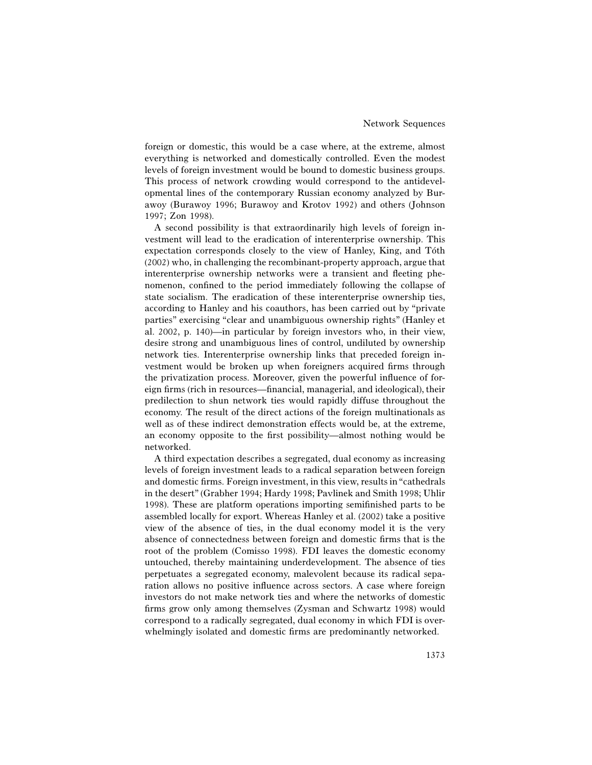foreign or domestic, this would be a case where, at the extreme, almost everything is networked and domestically controlled. Even the modest levels of foreign investment would be bound to domestic business groups. This process of network crowding would correspond to the antidevelopmental lines of the contemporary Russian economy analyzed by Burawoy (Burawoy 1996; Burawoy and Krotov 1992) and others (Johnson 1997; Zon 1998).

A second possibility is that extraordinarily high levels of foreign investment will lead to the eradication of interenterprise ownership. This expectation corresponds closely to the view of Hanley, King, and Tóth (2002) who, in challenging the recombinant-property approach, argue that interenterprise ownership networks were a transient and fleeting phenomenon, confined to the period immediately following the collapse of state socialism. The eradication of these interenterprise ownership ties, according to Hanley and his coauthors, has been carried out by "private parties" exercising "clear and unambiguous ownership rights" (Hanley et al. 2002, p. 140)—in particular by foreign investors who, in their view, desire strong and unambiguous lines of control, undiluted by ownership network ties. Interenterprise ownership links that preceded foreign investment would be broken up when foreigners acquired firms through the privatization process. Moreover, given the powerful influence of foreign firms (rich in resources—financial, managerial, and ideological), their predilection to shun network ties would rapidly diffuse throughout the economy. The result of the direct actions of the foreign multinationals as well as of these indirect demonstration effects would be, at the extreme, an economy opposite to the first possibility—almost nothing would be networked.

A third expectation describes a segregated, dual economy as increasing levels of foreign investment leads to a radical separation between foreign and domestic firms. Foreign investment, in this view, results in "cathedrals in the desert" (Grabher 1994; Hardy 1998; Pavlinek and Smith 1998; Uhlir 1998). These are platform operations importing semifinished parts to be assembled locally for export. Whereas Hanley et al. (2002) take a positive view of the absence of ties, in the dual economy model it is the very absence of connectedness between foreign and domestic firms that is the root of the problem (Comisso 1998). FDI leaves the domestic economy untouched, thereby maintaining underdevelopment. The absence of ties perpetuates a segregated economy, malevolent because its radical separation allows no positive influence across sectors. A case where foreign investors do not make network ties and where the networks of domestic firms grow only among themselves (Zysman and Schwartz 1998) would correspond to a radically segregated, dual economy in which FDI is overwhelmingly isolated and domestic firms are predominantly networked.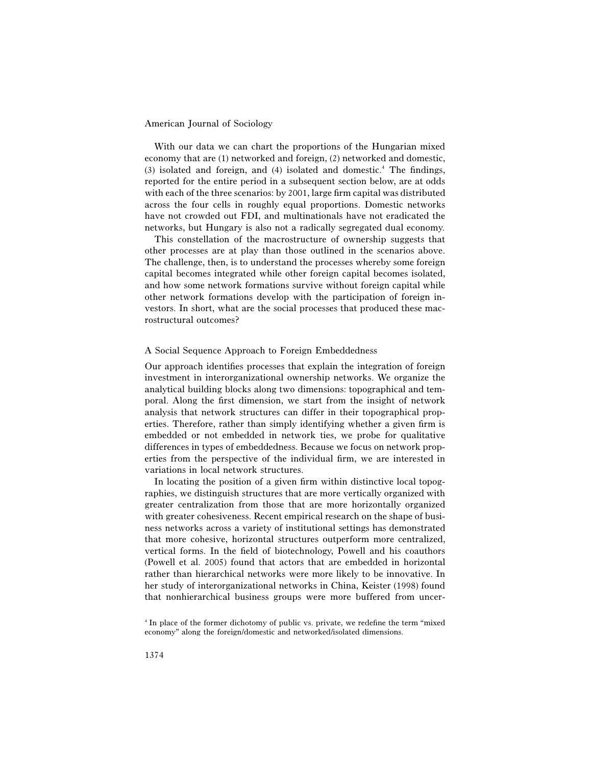With our data we can chart the proportions of the Hungarian mixed economy that are (1) networked and foreign, (2) networked and domestic,  $(3)$  isolated and foreign, and  $(4)$  isolated and domestic.<sup>4</sup> The findings, reported for the entire period in a subsequent section below, are at odds with each of the three scenarios: by 2001, large firm capital was distributed across the four cells in roughly equal proportions. Domestic networks have not crowded out FDI, and multinationals have not eradicated the networks, but Hungary is also not a radically segregated dual economy.

This constellation of the macrostructure of ownership suggests that other processes are at play than those outlined in the scenarios above. The challenge, then, is to understand the processes whereby some foreign capital becomes integrated while other foreign capital becomes isolated, and how some network formations survive without foreign capital while other network formations develop with the participation of foreign investors. In short, what are the social processes that produced these macrostructural outcomes?

#### A Social Sequence Approach to Foreign Embeddedness

Our approach identifies processes that explain the integration of foreign investment in interorganizational ownership networks. We organize the analytical building blocks along two dimensions: topographical and temporal. Along the first dimension, we start from the insight of network analysis that network structures can differ in their topographical properties. Therefore, rather than simply identifying whether a given firm is embedded or not embedded in network ties, we probe for qualitative differences in types of embeddedness. Because we focus on network properties from the perspective of the individual firm, we are interested in variations in local network structures.

In locating the position of a given firm within distinctive local topographies, we distinguish structures that are more vertically organized with greater centralization from those that are more horizontally organized with greater cohesiveness. Recent empirical research on the shape of business networks across a variety of institutional settings has demonstrated that more cohesive, horizontal structures outperform more centralized, vertical forms. In the field of biotechnology, Powell and his coauthors (Powell et al. 2005) found that actors that are embedded in horizontal rather than hierarchical networks were more likely to be innovative. In her study of interorganizational networks in China, Keister (1998) found that nonhierarchical business groups were more buffered from uncer-

<sup>4</sup> In place of the former dichotomy of public vs. private, we redefine the term "mixed economy" along the foreign/domestic and networked/isolated dimensions.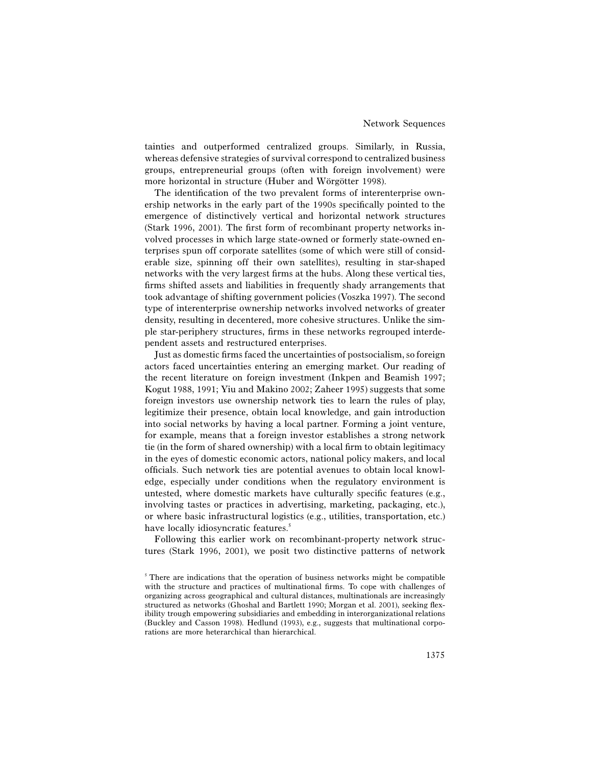tainties and outperformed centralized groups. Similarly, in Russia, whereas defensive strategies of survival correspond to centralized business groups, entrepreneurial groups (often with foreign involvement) were more horizontal in structure (Huber and Wörgötter 1998).

The identification of the two prevalent forms of interenterprise ownership networks in the early part of the 1990s specifically pointed to the emergence of distinctively vertical and horizontal network structures (Stark 1996, 2001). The first form of recombinant property networks involved processes in which large state-owned or formerly state-owned enterprises spun off corporate satellites (some of which were still of considerable size, spinning off their own satellites), resulting in star-shaped networks with the very largest firms at the hubs. Along these vertical ties, firms shifted assets and liabilities in frequently shady arrangements that took advantage of shifting government policies (Voszka 1997). The second type of interenterprise ownership networks involved networks of greater density, resulting in decentered, more cohesive structures. Unlike the simple star-periphery structures, firms in these networks regrouped interdependent assets and restructured enterprises.

Just as domestic firms faced the uncertainties of postsocialism, so foreign actors faced uncertainties entering an emerging market. Our reading of the recent literature on foreign investment (Inkpen and Beamish 1997; Kogut 1988, 1991; Yiu and Makino 2002; Zaheer 1995) suggests that some foreign investors use ownership network ties to learn the rules of play, legitimize their presence, obtain local knowledge, and gain introduction into social networks by having a local partner. Forming a joint venture, for example, means that a foreign investor establishes a strong network tie (in the form of shared ownership) with a local firm to obtain legitimacy in the eyes of domestic economic actors, national policy makers, and local officials. Such network ties are potential avenues to obtain local knowledge, especially under conditions when the regulatory environment is untested, where domestic markets have culturally specific features (e.g., involving tastes or practices in advertising, marketing, packaging, etc.), or where basic infrastructural logistics (e.g., utilities, transportation, etc.) have locally idiosyncratic features.<sup>5</sup>

Following this earlier work on recombinant-property network structures (Stark 1996, 2001), we posit two distinctive patterns of network

<sup>&</sup>lt;sup>5</sup> There are indications that the operation of business networks might be compatible with the structure and practices of multinational firms. To cope with challenges of organizing across geographical and cultural distances, multinationals are increasingly structured as networks (Ghoshal and Bartlett 1990; Morgan et al. 2001), seeking flexibility trough empowering subsidiaries and embedding in interorganizational relations (Buckley and Casson 1998). Hedlund (1993), e.g., suggests that multinational corporations are more heterarchical than hierarchical.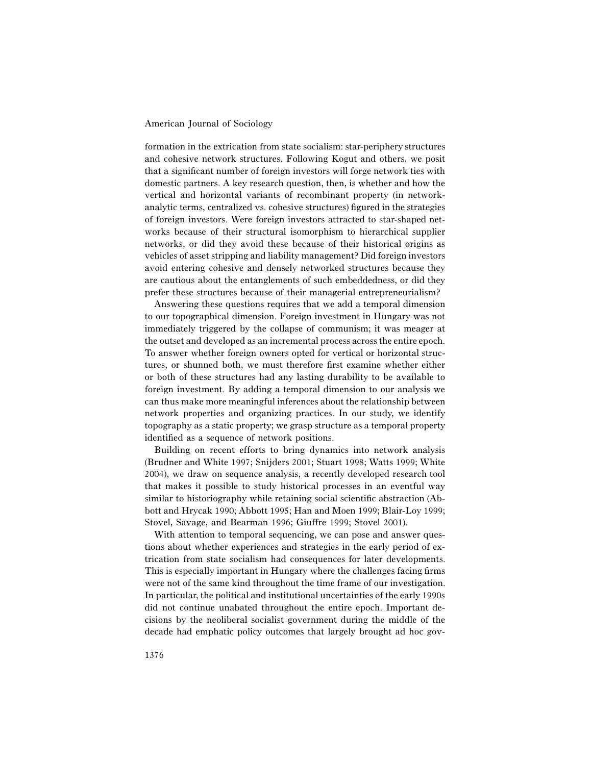formation in the extrication from state socialism: star-periphery structures and cohesive network structures. Following Kogut and others, we posit that a significant number of foreign investors will forge network ties with domestic partners. A key research question, then, is whether and how the vertical and horizontal variants of recombinant property (in networkanalytic terms, centralized vs. cohesive structures) figured in the strategies of foreign investors. Were foreign investors attracted to star-shaped networks because of their structural isomorphism to hierarchical supplier networks, or did they avoid these because of their historical origins as vehicles of asset stripping and liability management? Did foreign investors avoid entering cohesive and densely networked structures because they are cautious about the entanglements of such embeddedness, or did they prefer these structures because of their managerial entrepreneurialism?

Answering these questions requires that we add a temporal dimension to our topographical dimension. Foreign investment in Hungary was not immediately triggered by the collapse of communism; it was meager at the outset and developed as an incremental process across the entire epoch. To answer whether foreign owners opted for vertical or horizontal structures, or shunned both, we must therefore first examine whether either or both of these structures had any lasting durability to be available to foreign investment. By adding a temporal dimension to our analysis we can thus make more meaningful inferences about the relationship between network properties and organizing practices. In our study, we identify topography as a static property; we grasp structure as a temporal property identified as a sequence of network positions.

Building on recent efforts to bring dynamics into network analysis (Brudner and White 1997; Snijders 2001; Stuart 1998; Watts 1999; White 2004), we draw on sequence analysis, a recently developed research tool that makes it possible to study historical processes in an eventful way similar to historiography while retaining social scientific abstraction (Abbott and Hrycak 1990; Abbott 1995; Han and Moen 1999; Blair-Loy 1999; Stovel, Savage, and Bearman 1996; Giuffre 1999; Stovel 2001).

With attention to temporal sequencing, we can pose and answer questions about whether experiences and strategies in the early period of extrication from state socialism had consequences for later developments. This is especially important in Hungary where the challenges facing firms were not of the same kind throughout the time frame of our investigation. In particular, the political and institutional uncertainties of the early 1990s did not continue unabated throughout the entire epoch. Important decisions by the neoliberal socialist government during the middle of the decade had emphatic policy outcomes that largely brought ad hoc gov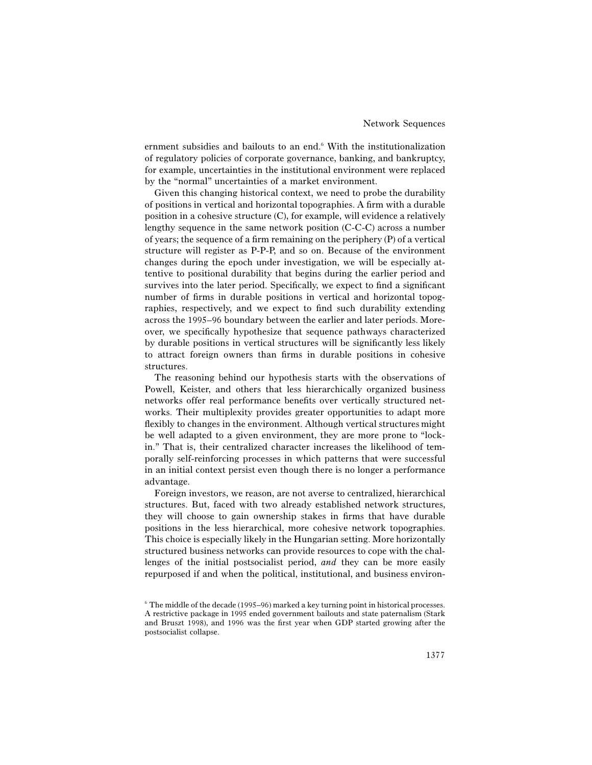ernment subsidies and bailouts to an end.<sup>6</sup> With the institutionalization of regulatory policies of corporate governance, banking, and bankruptcy, for example, uncertainties in the institutional environment were replaced by the "normal" uncertainties of a market environment.

Given this changing historical context, we need to probe the durability of positions in vertical and horizontal topographies. A firm with a durable position in a cohesive structure (C), for example, will evidence a relatively lengthy sequence in the same network position (C-C-C) across a number of years; the sequence of a firm remaining on the periphery (P) of a vertical structure will register as P-P-P, and so on. Because of the environment changes during the epoch under investigation, we will be especially attentive to positional durability that begins during the earlier period and survives into the later period. Specifically, we expect to find a significant number of firms in durable positions in vertical and horizontal topographies, respectively, and we expect to find such durability extending across the 1995–96 boundary between the earlier and later periods. Moreover, we specifically hypothesize that sequence pathways characterized by durable positions in vertical structures will be significantly less likely to attract foreign owners than firms in durable positions in cohesive structures.

The reasoning behind our hypothesis starts with the observations of Powell, Keister, and others that less hierarchically organized business networks offer real performance benefits over vertically structured networks. Their multiplexity provides greater opportunities to adapt more flexibly to changes in the environment. Although vertical structures might be well adapted to a given environment, they are more prone to "lockin." That is, their centralized character increases the likelihood of temporally self-reinforcing processes in which patterns that were successful in an initial context persist even though there is no longer a performance advantage.

Foreign investors, we reason, are not averse to centralized, hierarchical structures. But, faced with two already established network structures, they will choose to gain ownership stakes in firms that have durable positions in the less hierarchical, more cohesive network topographies. This choice is especially likely in the Hungarian setting. More horizontally structured business networks can provide resources to cope with the challenges of the initial postsocialist period, *and* they can be more easily repurposed if and when the political, institutional, and business environ-

<sup>6</sup> The middle of the decade (1995–96) marked a key turning point in historical processes. A restrictive package in 1995 ended government bailouts and state paternalism (Stark and Bruszt 1998), and 1996 was the first year when GDP started growing after the postsocialist collapse.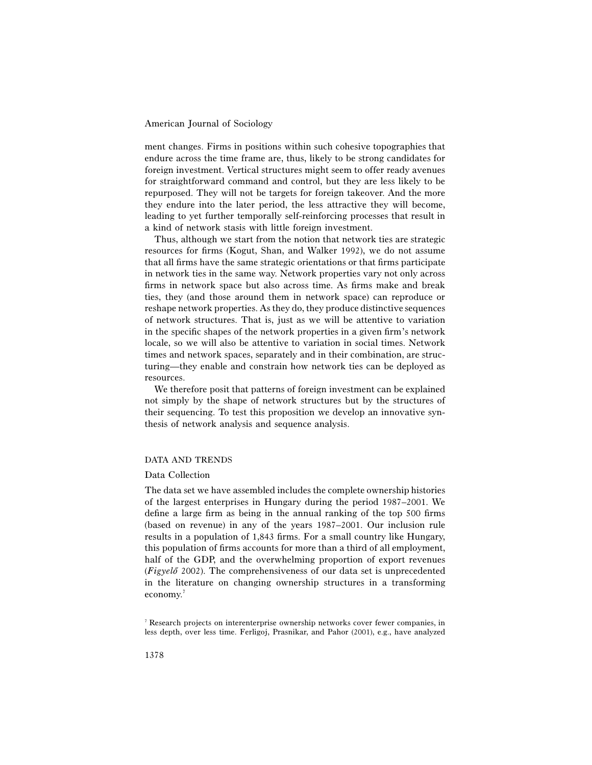ment changes. Firms in positions within such cohesive topographies that endure across the time frame are, thus, likely to be strong candidates for foreign investment. Vertical structures might seem to offer ready avenues for straightforward command and control, but they are less likely to be repurposed. They will not be targets for foreign takeover. And the more they endure into the later period, the less attractive they will become, leading to yet further temporally self-reinforcing processes that result in a kind of network stasis with little foreign investment.

Thus, although we start from the notion that network ties are strategic resources for firms (Kogut, Shan, and Walker 1992), we do not assume that all firms have the same strategic orientations or that firms participate in network ties in the same way. Network properties vary not only across firms in network space but also across time. As firms make and break ties, they (and those around them in network space) can reproduce or reshape network properties. As they do, they produce distinctive sequences of network structures. That is, just as we will be attentive to variation in the specific shapes of the network properties in a given firm's network locale, so we will also be attentive to variation in social times. Network times and network spaces, separately and in their combination, are structuring—they enable and constrain how network ties can be deployed as resources.

We therefore posit that patterns of foreign investment can be explained not simply by the shape of network structures but by the structures of their sequencing. To test this proposition we develop an innovative synthesis of network analysis and sequence analysis.

#### DATA AND TRENDS

#### Data Collection

The data set we have assembled includes the complete ownership histories of the largest enterprises in Hungary during the period 1987–2001. We define a large firm as being in the annual ranking of the top 500 firms (based on revenue) in any of the years 1987–2001. Our inclusion rule results in a population of 1,843 firms. For a small country like Hungary, this population of firms accounts for more than a third of all employment, half of the GDP, and the overwhelming proportion of export revenues (*Figyelo˝* 2002). The comprehensiveness of our data set is unprecedented in the literature on changing ownership structures in a transforming economy.<sup>7</sup>

<sup>7</sup> Research projects on interenterprise ownership networks cover fewer companies, in less depth, over less time. Ferligoj, Prasnikar, and Pahor (2001), e.g., have analyzed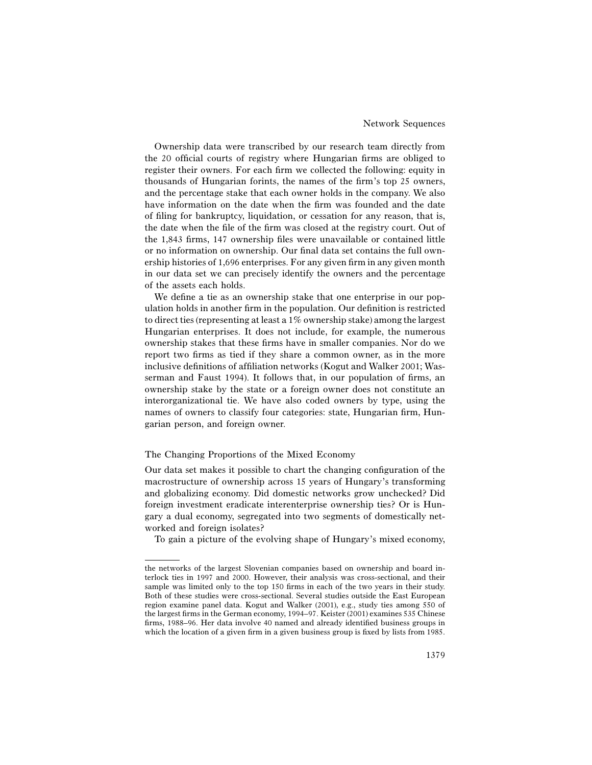#### Network Sequences

Ownership data were transcribed by our research team directly from the 20 official courts of registry where Hungarian firms are obliged to register their owners. For each firm we collected the following: equity in thousands of Hungarian forints, the names of the firm's top 25 owners, and the percentage stake that each owner holds in the company. We also have information on the date when the firm was founded and the date of filing for bankruptcy, liquidation, or cessation for any reason, that is, the date when the file of the firm was closed at the registry court. Out of the 1,843 firms, 147 ownership files were unavailable or contained little or no information on ownership. Our final data set contains the full ownership histories of 1,696 enterprises. For any given firm in any given month in our data set we can precisely identify the owners and the percentage of the assets each holds.

We define a tie as an ownership stake that one enterprise in our population holds in another firm in the population. Our definition is restricted to direct ties (representing at least a 1% ownership stake) among the largest Hungarian enterprises. It does not include, for example, the numerous ownership stakes that these firms have in smaller companies. Nor do we report two firms as tied if they share a common owner, as in the more inclusive definitions of affiliation networks (Kogut and Walker 2001; Wasserman and Faust 1994). It follows that, in our population of firms, an ownership stake by the state or a foreign owner does not constitute an interorganizational tie. We have also coded owners by type, using the names of owners to classify four categories: state, Hungarian firm, Hungarian person, and foreign owner.

#### The Changing Proportions of the Mixed Economy

Our data set makes it possible to chart the changing configuration of the macrostructure of ownership across 15 years of Hungary's transforming and globalizing economy. Did domestic networks grow unchecked? Did foreign investment eradicate interenterprise ownership ties? Or is Hungary a dual economy, segregated into two segments of domestically networked and foreign isolates?

To gain a picture of the evolving shape of Hungary's mixed economy,

the networks of the largest Slovenian companies based on ownership and board interlock ties in 1997 and 2000. However, their analysis was cross-sectional, and their sample was limited only to the top 150 firms in each of the two years in their study. Both of these studies were cross-sectional. Several studies outside the East European region examine panel data. Kogut and Walker (2001), e.g., study ties among 550 of the largest firms in the German economy, 1994–97. Keister (2001) examines 535 Chinese firms, 1988–96. Her data involve 40 named and already identified business groups in which the location of a given firm in a given business group is fixed by lists from 1985.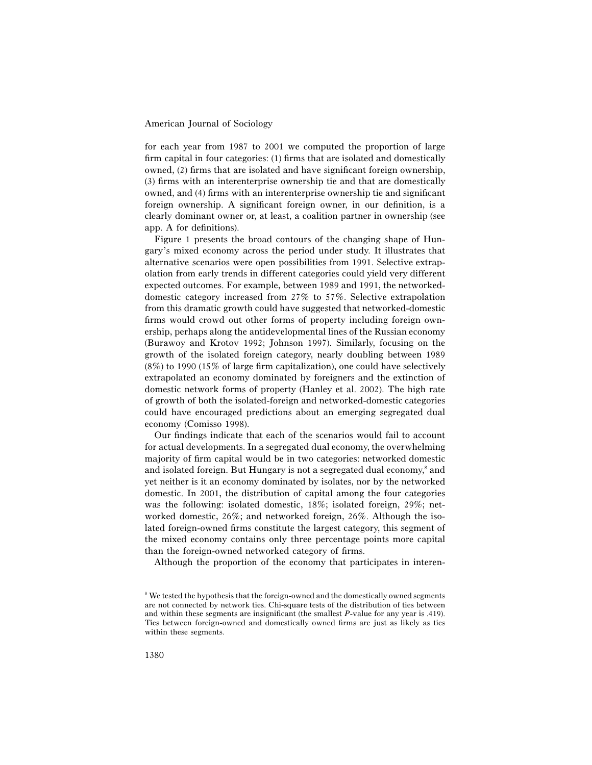for each year from 1987 to 2001 we computed the proportion of large firm capital in four categories: (1) firms that are isolated and domestically owned, (2) firms that are isolated and have significant foreign ownership, (3) firms with an interenterprise ownership tie and that are domestically owned, and (4) firms with an interenterprise ownership tie and significant foreign ownership. A significant foreign owner, in our definition, is a clearly dominant owner or, at least, a coalition partner in ownership (see app. A for definitions).

Figure 1 presents the broad contours of the changing shape of Hungary's mixed economy across the period under study. It illustrates that alternative scenarios were open possibilities from 1991. Selective extrapolation from early trends in different categories could yield very different expected outcomes. For example, between 1989 and 1991, the networkeddomestic category increased from 27% to 57%. Selective extrapolation from this dramatic growth could have suggested that networked-domestic firms would crowd out other forms of property including foreign ownership, perhaps along the antidevelopmental lines of the Russian economy (Burawoy and Krotov 1992; Johnson 1997). Similarly, focusing on the growth of the isolated foreign category, nearly doubling between 1989 (8%) to 1990 (15% of large firm capitalization), one could have selectively extrapolated an economy dominated by foreigners and the extinction of domestic network forms of property (Hanley et al. 2002). The high rate of growth of both the isolated-foreign and networked-domestic categories could have encouraged predictions about an emerging segregated dual economy (Comisso 1998).

Our findings indicate that each of the scenarios would fail to account for actual developments. In a segregated dual economy, the overwhelming majority of firm capital would be in two categories: networked domestic and isolated foreign. But Hungary is not a segregated dual economy,<sup>8</sup> and yet neither is it an economy dominated by isolates, nor by the networked domestic. In 2001, the distribution of capital among the four categories was the following: isolated domestic, 18%; isolated foreign, 29%; networked domestic, 26%; and networked foreign, 26%. Although the isolated foreign-owned firms constitute the largest category, this segment of the mixed economy contains only three percentage points more capital than the foreign-owned networked category of firms.

Although the proportion of the economy that participates in interen-

 $8$  We tested the hypothesis that the foreign-owned and the domestically owned segments are not connected by network ties. Chi-square tests of the distribution of ties between and within these segments are insignificant (the smallest *P*-value for any year is .419). Ties between foreign-owned and domestically owned firms are just as likely as ties within these segments.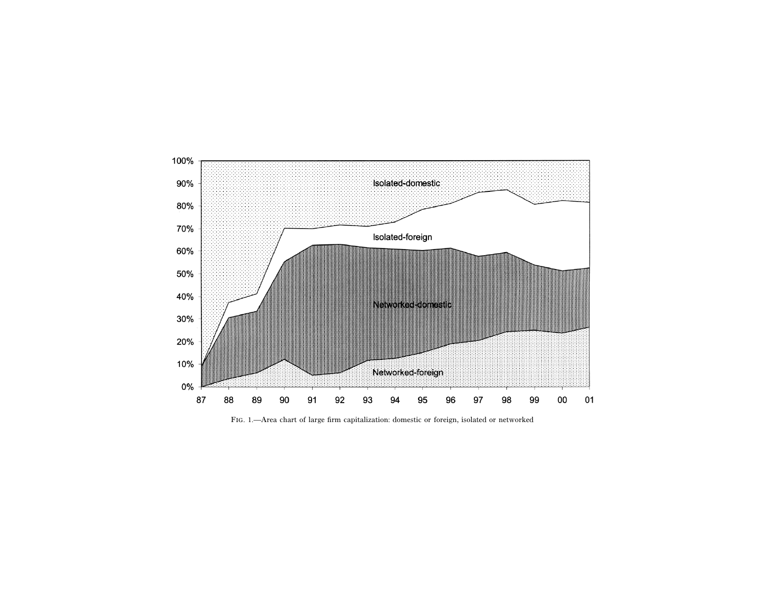

Fig. 1.—Area chart of large firm capitalization: domestic or foreign, isolated or networked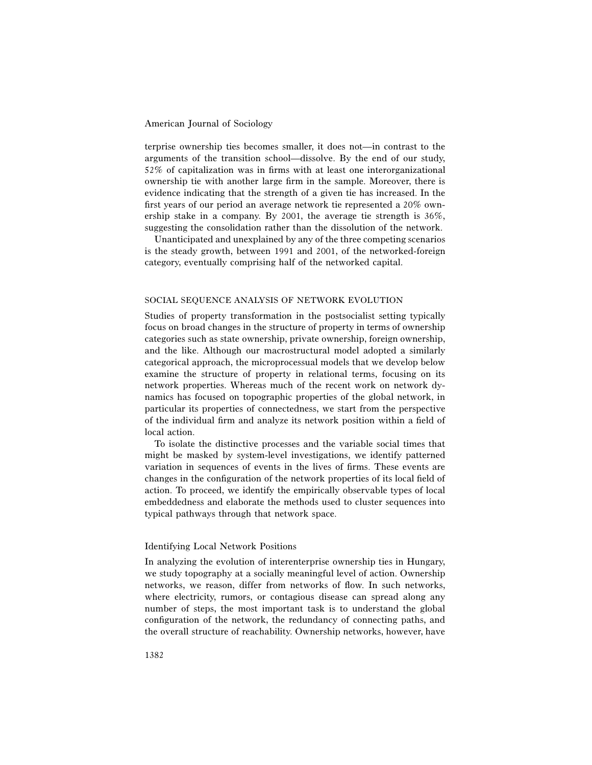terprise ownership ties becomes smaller, it does not—in contrast to the arguments of the transition school—dissolve. By the end of our study, 52% of capitalization was in firms with at least one interorganizational ownership tie with another large firm in the sample. Moreover, there is evidence indicating that the strength of a given tie has increased. In the first years of our period an average network tie represented a 20% ownership stake in a company. By 2001, the average tie strength is 36%, suggesting the consolidation rather than the dissolution of the network.

Unanticipated and unexplained by any of the three competing scenarios is the steady growth, between 1991 and 2001, of the networked-foreign category, eventually comprising half of the networked capital.

#### SOCIAL SEQUENCE ANALYSIS OF NETWORK EVOLUTION

Studies of property transformation in the postsocialist setting typically focus on broad changes in the structure of property in terms of ownership categories such as state ownership, private ownership, foreign ownership, and the like. Although our macrostructural model adopted a similarly categorical approach, the microprocessual models that we develop below examine the structure of property in relational terms, focusing on its network properties. Whereas much of the recent work on network dynamics has focused on topographic properties of the global network, in particular its properties of connectedness, we start from the perspective of the individual firm and analyze its network position within a field of local action.

To isolate the distinctive processes and the variable social times that might be masked by system-level investigations, we identify patterned variation in sequences of events in the lives of firms. These events are changes in the configuration of the network properties of its local field of action. To proceed, we identify the empirically observable types of local embeddedness and elaborate the methods used to cluster sequences into typical pathways through that network space.

# Identifying Local Network Positions

In analyzing the evolution of interenterprise ownership ties in Hungary, we study topography at a socially meaningful level of action. Ownership networks, we reason, differ from networks of flow. In such networks, where electricity, rumors, or contagious disease can spread along any number of steps, the most important task is to understand the global configuration of the network, the redundancy of connecting paths, and the overall structure of reachability. Ownership networks, however, have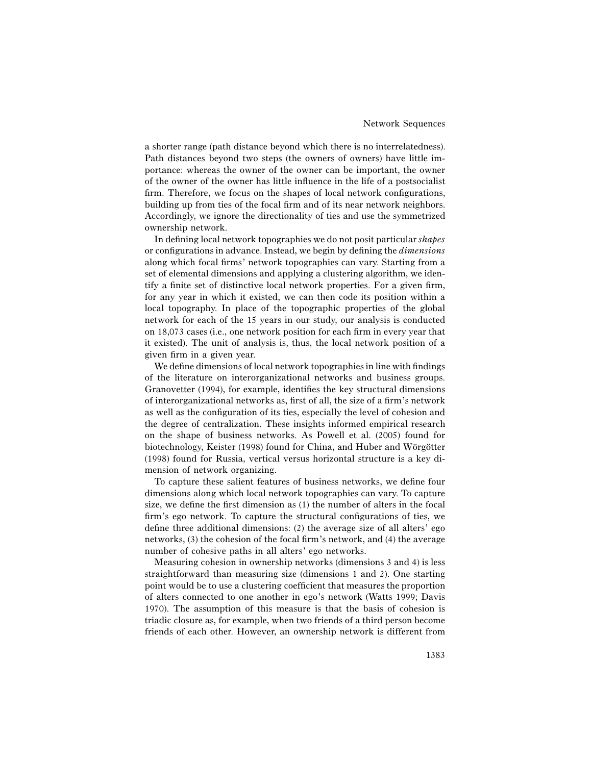a shorter range (path distance beyond which there is no interrelatedness). Path distances beyond two steps (the owners of owners) have little importance: whereas the owner of the owner can be important, the owner of the owner of the owner has little influence in the life of a postsocialist firm. Therefore, we focus on the shapes of local network configurations, building up from ties of the focal firm and of its near network neighbors. Accordingly, we ignore the directionality of ties and use the symmetrized ownership network.

In defining local network topographies we do not posit particular*shapes* or configurations in advance. Instead, we begin by defining the *dimensions* along which focal firms' network topographies can vary. Starting from a set of elemental dimensions and applying a clustering algorithm, we identify a finite set of distinctive local network properties. For a given firm, for any year in which it existed, we can then code its position within a local topography. In place of the topographic properties of the global network for each of the 15 years in our study, our analysis is conducted on 18,073 cases (i.e., one network position for each firm in every year that it existed). The unit of analysis is, thus, the local network position of a given firm in a given year.

We define dimensions of local network topographies in line with findings of the literature on interorganizational networks and business groups. Granovetter (1994), for example, identifies the key structural dimensions of interorganizational networks as, first of all, the size of a firm's network as well as the configuration of its ties, especially the level of cohesion and the degree of centralization. These insights informed empirical research on the shape of business networks. As Powell et al. (2005) found for biotechnology, Keister (1998) found for China, and Huber and Wörgötter (1998) found for Russia, vertical versus horizontal structure is a key dimension of network organizing.

To capture these salient features of business networks, we define four dimensions along which local network topographies can vary. To capture size, we define the first dimension as (1) the number of alters in the focal firm's ego network. To capture the structural configurations of ties, we define three additional dimensions: (2) the average size of all alters' ego networks, (3) the cohesion of the focal firm's network, and (4) the average number of cohesive paths in all alters' ego networks.

Measuring cohesion in ownership networks (dimensions 3 and 4) is less straightforward than measuring size (dimensions 1 and 2). One starting point would be to use a clustering coefficient that measures the proportion of alters connected to one another in ego's network (Watts 1999; Davis 1970). The assumption of this measure is that the basis of cohesion is triadic closure as, for example, when two friends of a third person become friends of each other. However, an ownership network is different from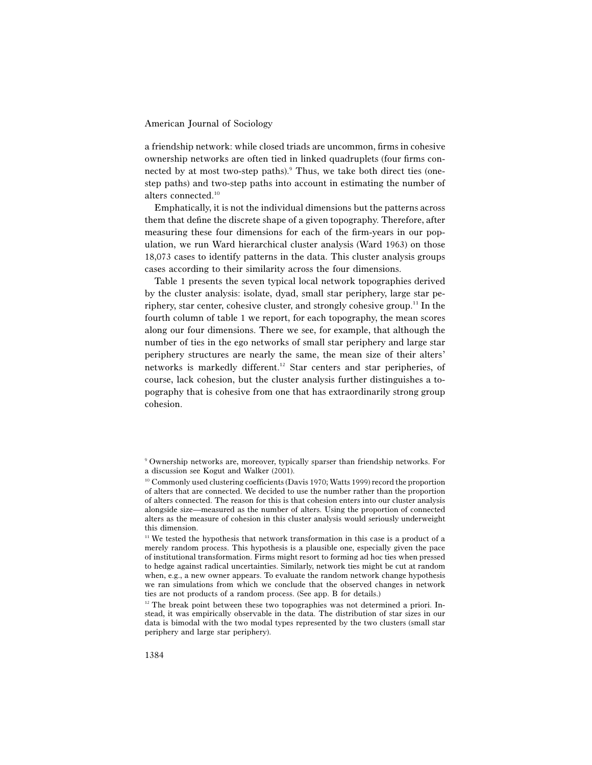a friendship network: while closed triads are uncommon, firms in cohesive ownership networks are often tied in linked quadruplets (four firms connected by at most two-step paths).<sup>9</sup> Thus, we take both direct ties (onestep paths) and two-step paths into account in estimating the number of alters connected.<sup>10</sup>

Emphatically, it is not the individual dimensions but the patterns across them that define the discrete shape of a given topography. Therefore, after measuring these four dimensions for each of the firm-years in our population, we run Ward hierarchical cluster analysis (Ward 1963) on those 18,073 cases to identify patterns in the data. This cluster analysis groups cases according to their similarity across the four dimensions.

Table 1 presents the seven typical local network topographies derived by the cluster analysis: isolate, dyad, small star periphery, large star periphery, star center, cohesive cluster, and strongly cohesive group.<sup>11</sup> In the fourth column of table 1 we report, for each topography, the mean scores along our four dimensions. There we see, for example, that although the number of ties in the ego networks of small star periphery and large star periphery structures are nearly the same, the mean size of their alters' networks is markedly different.12 Star centers and star peripheries, of course, lack cohesion, but the cluster analysis further distinguishes a topography that is cohesive from one that has extraordinarily strong group cohesion.

<sup>9</sup> Ownership networks are, moreover, typically sparser than friendship networks. For a discussion see Kogut and Walker (2001).

 $10$  Commonly used clustering coefficients (Davis 1970; Watts 1999) record the proportion of alters that are connected. We decided to use the number rather than the proportion of alters connected. The reason for this is that cohesion enters into our cluster analysis alongside size—measured as the number of alters. Using the proportion of connected alters as the measure of cohesion in this cluster analysis would seriously underweight this dimension.

<sup>&</sup>lt;sup>11</sup> We tested the hypothesis that network transformation in this case is a product of a merely random process. This hypothesis is a plausible one, especially given the pace of institutional transformation. Firms might resort to forming ad hoc ties when pressed to hedge against radical uncertainties. Similarly, network ties might be cut at random when, e.g., a new owner appears. To evaluate the random network change hypothesis we ran simulations from which we conclude that the observed changes in network ties are not products of a random process. (See app. B for details.)

 $12$  The break point between these two topographies was not determined a priori. Instead, it was empirically observable in the data. The distribution of star sizes in our data is bimodal with the two modal types represented by the two clusters (small star periphery and large star periphery).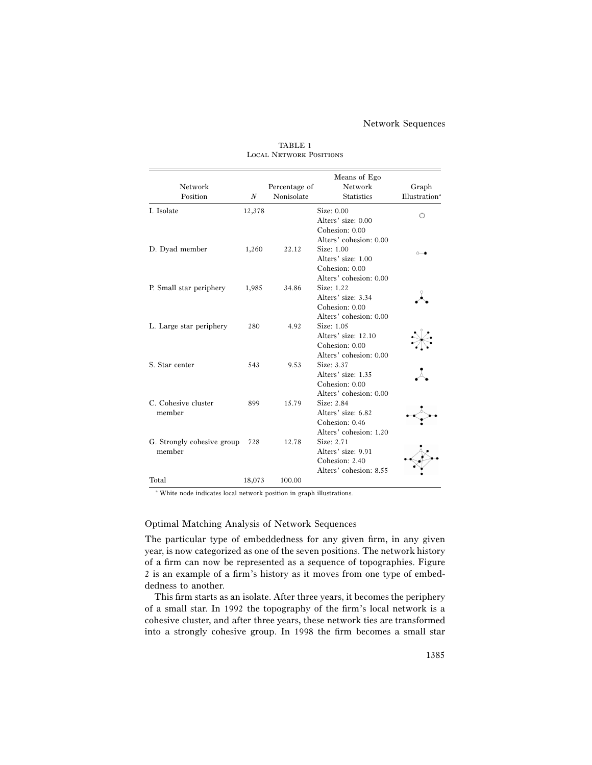# Network Sequences

|                            |                  |               | Means of Ego           |                           |
|----------------------------|------------------|---------------|------------------------|---------------------------|
| Network                    |                  | Percentage of | Network                | Graph                     |
| Position                   | $\boldsymbol{N}$ | Nonisolate    | <b>Statistics</b>      | Illustration <sup>a</sup> |
| I. Isolate                 | 12,378           |               | Size: 0.00             | Ο                         |
|                            |                  |               | Alters' size: 0.00     |                           |
|                            |                  |               | Cohesion: 0.00         |                           |
|                            |                  |               | Alters' cohesion: 0.00 |                           |
| D. Dyad member             | 1,260            | 22.12         | Size: 1.00             |                           |
|                            |                  |               | Alters' size: 1.00     |                           |
|                            |                  |               | Cohesion: 0.00         |                           |
|                            |                  |               | Alters' cohesion: 0.00 |                           |
| P. Small star periphery    | 1,985            | 34.86         | Size: 1.22             |                           |
|                            |                  |               | Alters' size: 3.34     |                           |
|                            |                  |               | Cohesion: 0.00         |                           |
|                            |                  |               | Alters' cohesion: 0.00 |                           |
| L. Large star periphery    | 280              | 4.92          | Size: 1.05             |                           |
|                            |                  |               | Alters' size: 12.10    |                           |
|                            |                  |               | Cohesion: 0.00         |                           |
|                            |                  |               | Alters' cohesion: 0.00 |                           |
| S. Star center             | 543              | 9.53          | Size: 3.37             |                           |
|                            |                  |               | Alters' size: 1.35     |                           |
|                            |                  |               | Cohesion: 0.00         |                           |
|                            |                  |               | Alters' cohesion: 0.00 |                           |
| C. Cohesive cluster        | 899              | 15.79         | Size: 2.84             |                           |
| member                     |                  |               | Alters' size: 6.82     |                           |
|                            |                  |               | Cohesion: 0.46         |                           |
|                            |                  |               | Alters' cohesion: 1.20 |                           |
| G. Strongly cohesive group | 728              | 12.78         | Size: 2.71             |                           |
| member                     |                  |               | Alters' size: 9.91     |                           |
|                            |                  |               | Cohesion: 2.40         |                           |
|                            |                  |               | Alters' cohesion: 8.55 |                           |
| Total                      | 18,073           | 100.00        |                        |                           |

| TABLE 1                        |  |
|--------------------------------|--|
| <b>LOCAL NETWORK POSITIONS</b> |  |

<sup>a</sup> White node indicates local network position in graph illustrations.

#### Optimal Matching Analysis of Network Sequences

The particular type of embeddedness for any given firm, in any given year, is now categorized as one of the seven positions. The network history of a firm can now be represented as a sequence of topographies. Figure 2 is an example of a firm's history as it moves from one type of embeddedness to another.

This firm starts as an isolate. After three years, it becomes the periphery of a small star. In 1992 the topography of the firm's local network is a cohesive cluster, and after three years, these network ties are transformed into a strongly cohesive group. In 1998 the firm becomes a small star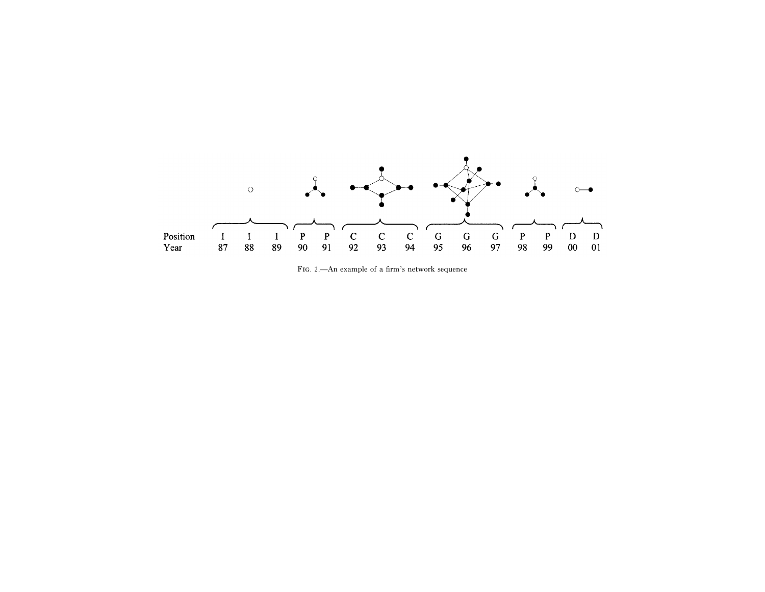

Fig. 2.—An example of <sup>a</sup> firm's network sequence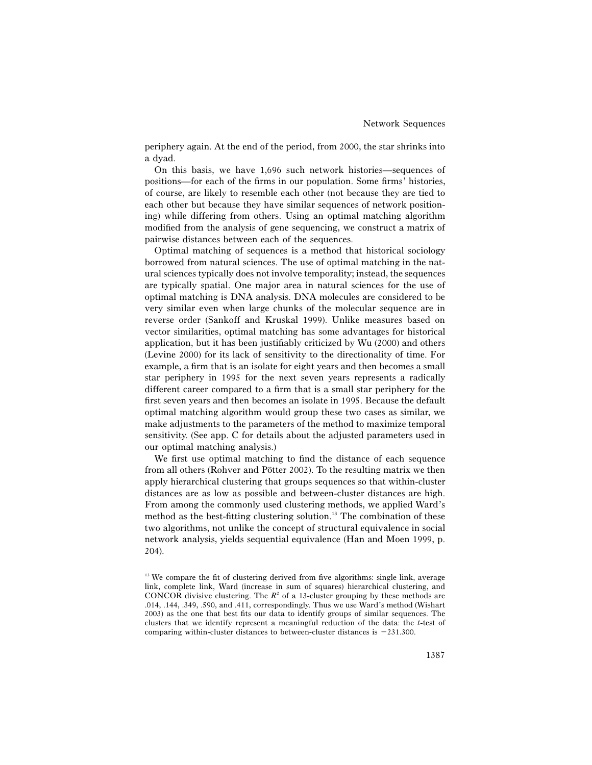periphery again. At the end of the period, from 2000, the star shrinks into a dyad.

On this basis, we have 1,696 such network histories—sequences of positions—for each of the firms in our population. Some firms' histories, of course, are likely to resemble each other (not because they are tied to each other but because they have similar sequences of network positioning) while differing from others. Using an optimal matching algorithm modified from the analysis of gene sequencing, we construct a matrix of pairwise distances between each of the sequences.

Optimal matching of sequences is a method that historical sociology borrowed from natural sciences. The use of optimal matching in the natural sciences typically does not involve temporality; instead, the sequences are typically spatial. One major area in natural sciences for the use of optimal matching is DNA analysis. DNA molecules are considered to be very similar even when large chunks of the molecular sequence are in reverse order (Sankoff and Kruskal 1999). Unlike measures based on vector similarities, optimal matching has some advantages for historical application, but it has been justifiably criticized by Wu (2000) and others (Levine 2000) for its lack of sensitivity to the directionality of time. For example, a firm that is an isolate for eight years and then becomes a small star periphery in 1995 for the next seven years represents a radically different career compared to a firm that is a small star periphery for the first seven years and then becomes an isolate in 1995. Because the default optimal matching algorithm would group these two cases as similar, we make adjustments to the parameters of the method to maximize temporal sensitivity. (See app. C for details about the adjusted parameters used in our optimal matching analysis.)

We first use optimal matching to find the distance of each sequence from all others (Rohver and Pötter 2002). To the resulting matrix we then apply hierarchical clustering that groups sequences so that within-cluster distances are as low as possible and between-cluster distances are high. From among the commonly used clustering methods, we applied Ward's method as the best-fitting clustering solution.<sup>13</sup> The combination of these two algorithms, not unlike the concept of structural equivalence in social network analysis, yields sequential equivalence (Han and Moen 1999, p. 204).

<sup>&</sup>lt;sup>13</sup> We compare the fit of clustering derived from five algorithms: single link, average link, complete link, Ward (increase in sum of squares) hierarchical clustering, and CONCOR divisive clustering. The  $R^2$  of a 13-cluster grouping by these methods are .014, .144, .349, .590, and .411, correspondingly. Thus we use Ward's method (Wishart 2003) as the one that best fits our data to identify groups of similar sequences. The clusters that we identify represent a meaningful reduction of the data: the *t*-test of comparing within-cluster distances to between-cluster distances is  $-231.300$ .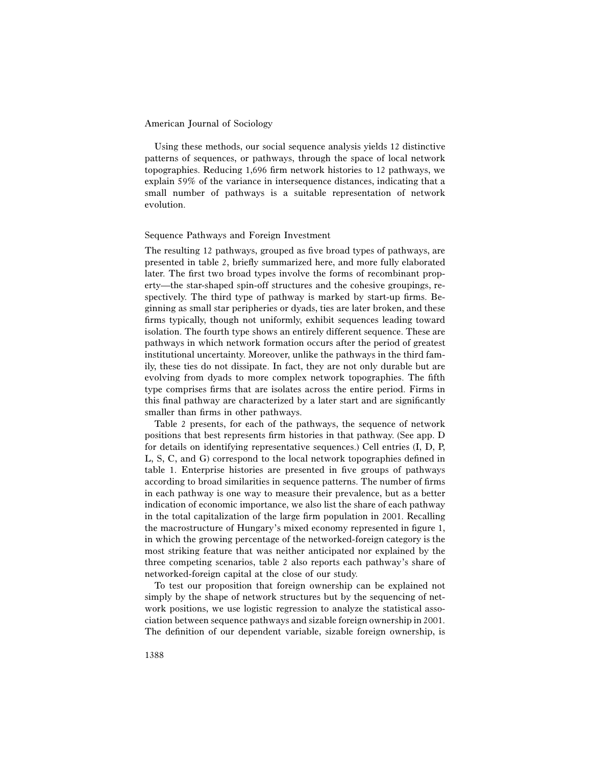Using these methods, our social sequence analysis yields 12 distinctive patterns of sequences, or pathways, through the space of local network topographies. Reducing 1,696 firm network histories to 12 pathways, we explain 59% of the variance in intersequence distances, indicating that a small number of pathways is a suitable representation of network evolution.

## Sequence Pathways and Foreign Investment

The resulting 12 pathways, grouped as five broad types of pathways, are presented in table 2, briefly summarized here, and more fully elaborated later. The first two broad types involve the forms of recombinant property—the star-shaped spin-off structures and the cohesive groupings, respectively. The third type of pathway is marked by start-up firms. Beginning as small star peripheries or dyads, ties are later broken, and these firms typically, though not uniformly, exhibit sequences leading toward isolation. The fourth type shows an entirely different sequence. These are pathways in which network formation occurs after the period of greatest institutional uncertainty. Moreover, unlike the pathways in the third family, these ties do not dissipate. In fact, they are not only durable but are evolving from dyads to more complex network topographies. The fifth type comprises firms that are isolates across the entire period. Firms in this final pathway are characterized by a later start and are significantly smaller than firms in other pathways.

Table 2 presents, for each of the pathways, the sequence of network positions that best represents firm histories in that pathway. (See app. D for details on identifying representative sequences.) Cell entries (I, D, P, L, S, C, and G) correspond to the local network topographies defined in table 1. Enterprise histories are presented in five groups of pathways according to broad similarities in sequence patterns. The number of firms in each pathway is one way to measure their prevalence, but as a better indication of economic importance, we also list the share of each pathway in the total capitalization of the large firm population in 2001. Recalling the macrostructure of Hungary's mixed economy represented in figure 1, in which the growing percentage of the networked-foreign category is the most striking feature that was neither anticipated nor explained by the three competing scenarios, table 2 also reports each pathway's share of networked-foreign capital at the close of our study.

To test our proposition that foreign ownership can be explained not simply by the shape of network structures but by the sequencing of network positions, we use logistic regression to analyze the statistical association between sequence pathways and sizable foreign ownership in 2001. The definition of our dependent variable, sizable foreign ownership, is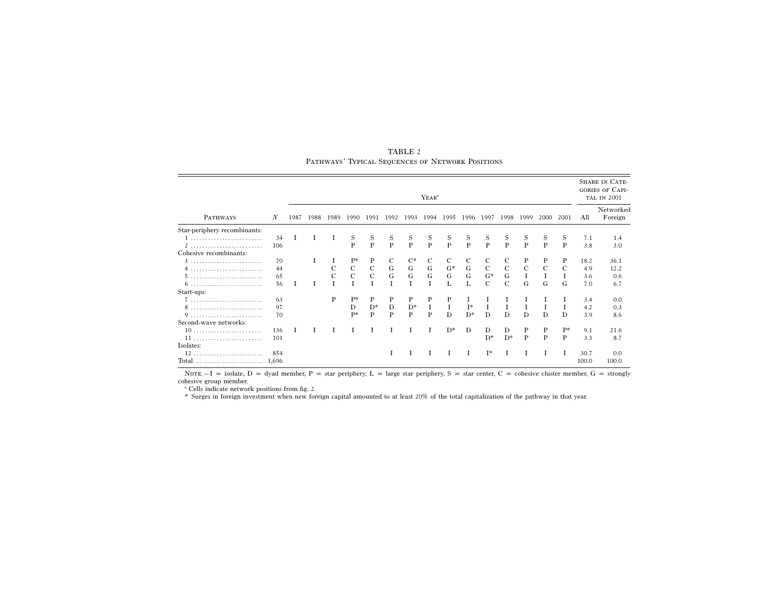|                              | $YEAR^a$ |      |      |               |               |              |              |              |                | SHARE IN CATE-<br><b>GORIES OF CAPI-</b><br>TAL IN 2001 |              |               |               |               |               |               |       |                      |
|------------------------------|----------|------|------|---------------|---------------|--------------|--------------|--------------|----------------|---------------------------------------------------------|--------------|---------------|---------------|---------------|---------------|---------------|-------|----------------------|
| PATHWAYS                     | N        | 1987 | 1988 | 1989          | 1990          | 1991         | 1992         | 1993         | 1994           | 1995                                                    | 1996         | 1997          | 1998          | 1999          | 2000          | 2001          | All   | Networked<br>Foreign |
| Star-periphery recombinants: |          |      |      |               |               |              |              |              |                |                                                         |              |               |               |               |               |               |       |                      |
|                              | 34       |      |      |               | S             | S            | S            | S            | S              | $_{\rm P}^{\rm S}$                                      | S            | S             | S             | S             | S             | S             | 7.1   | 1.4                  |
|                              | 106      |      |      |               | P             | $\mathbf{P}$ | $\mathbf{P}$ | $\mathbf P$  | $\overline{P}$ |                                                         | $\mathbf{P}$ | $\mathbf{P}$  | $\mathbf{P}$  | $\mathbf{P}$  | $\, {\bf P}$  | P             | 3.8   | 3.0                  |
| Cohesive recombinants:       |          |      |      |               |               |              |              |              |                |                                                         |              |               |               |               |               |               |       |                      |
|                              | 70       |      | I    |               | $P*$          | P            | С            | $C^*$        | C              | $\mathcal{C}$                                           | C            | C             | C             | P             | P             | P             | 18.2  | 36.1                 |
|                              | 44       |      |      | C             | $\mathcal{C}$ | $\mathbf C$  | G            | G            | G              | $G^*$                                                   | G            | $\mathcal{C}$ | $\mathbf C$   | $\mathcal{C}$ | $\mathcal{C}$ | $\mathcal{C}$ | 4.9   | 12.2                 |
| .5.                          | 65       |      |      | $\mathcal{C}$ | $\mathbf C$   | $\mathbf C$  | G            | G            | G              | G                                                       | G            | $G^*$         | G             | 1             | 1             | 1             | 3.6   | 0.6                  |
|                              | 56       |      | I    |               | L             | T            |              | T.           |                | L                                                       | L            | $\mathcal{C}$ | $\mathcal{C}$ | G             | G             | G             | 7.0   | 6.7                  |
| Start-ups:                   |          |      |      |               |               |              |              |              |                |                                                         |              |               |               |               |               |               |       |                      |
|                              | 63       |      |      | P             | $P*$          | P            | P            | P            | P              | P                                                       |              |               |               |               |               |               | 3.4   | 0.0                  |
| 8                            | 97       |      |      |               | D             | $_{\rm D*}$  | D            | $D^*$        | 1              | 1                                                       | $I^*$        |               |               |               | 1             |               | 4.2   | 0.3                  |
| 9                            | 70       |      |      |               | $P*$          | P            | P            | $\mathbf{P}$ | P              | $\mathbf{D}$                                            | $D^*$        | D             | D             | D             | D             | D             | 3.9   | 8.6                  |
| Second-wave networks:        |          |      |      |               |               |              |              |              |                |                                                         |              |               |               |               |               |               |       |                      |
|                              | 136      |      |      |               |               |              |              | T            | T              | $D^*$                                                   | D            | D             | D             | P             | $\mathbf P$   | $P*$          | 9.1   | 21.6                 |
| 11                           | 101      |      |      |               |               |              |              |              |                |                                                         |              | $D^*$         | $D^*$         | P             | $\mathbf P$   | P             | 3.3   | 8.7                  |
| Isolates:                    |          |      |      |               |               |              |              |              |                |                                                         |              |               |               |               |               |               |       |                      |
| 12                           | 854      |      |      |               |               |              |              |              |                |                                                         |              | $I^*$         |               |               | T             |               | 30.7  | 0.0                  |
| Total                        | 1.696    |      |      |               |               |              |              |              |                |                                                         |              |               |               |               |               |               | 100.0 | 100.0                |

TABLE 2 Pathways' Typical Sequences of Network Positions

Note.—I = isolate, D = dyad member, P = star periphery, L = large star periphery, S = star center, C = cohesive cluster member, G = strongly cohesive group member.

a Cells indicate network positions from fig. 2. \* Surges in foreign investment when new foreign capital amounted to at least 20% of the total capitalization of the pathway in that year.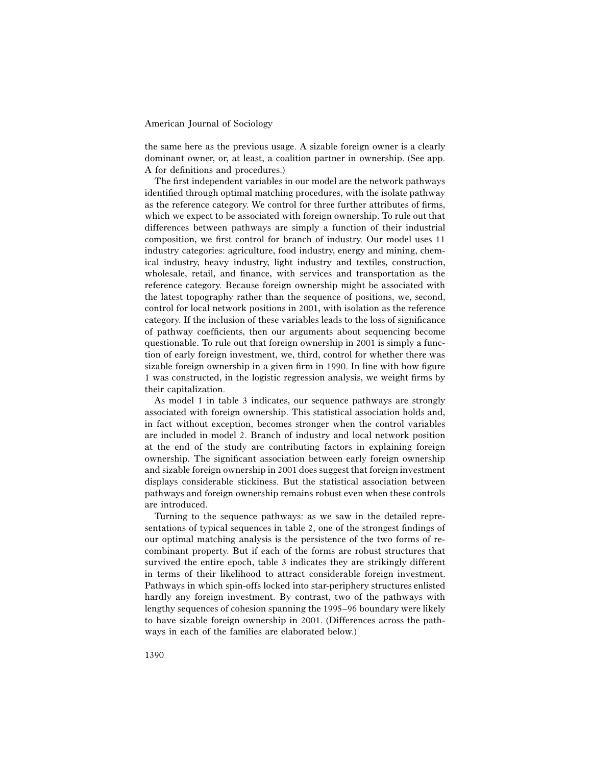the same here as the previous usage. A sizable foreign owner is a clearly dominant owner, or, at least, a coalition partner in ownership. (See app. A for definitions and procedures.)

The first independent variables in our model are the network pathways identified through optimal matching procedures, with the isolate pathway as the reference category. We control for three further attributes of firms, which we expect to be associated with foreign ownership. To rule out that differences between pathways are simply a function of their industrial composition, we first control for branch of industry. Our model uses 11 industry categories: agriculture, food industry, energy and mining, chemical industry, heavy industry, light industry and textiles, construction, wholesale, retail, and finance, with services and transportation as the reference category. Because foreign ownership might be associated with the latest topography rather than the sequence of positions, we, second, control for local network positions in 2001, with isolation as the reference category. If the inclusion of these variables leads to the loss of significance of pathway coefficients, then our arguments about sequencing become questionable. To rule out that foreign ownership in 2001 is simply a function of early foreign investment, we, third, control for whether there was sizable foreign ownership in a given firm in 1990. In line with how figure 1 was constructed, in the logistic regression analysis, we weight firms by their capitalization.

As model 1 in table 3 indicates, our sequence pathways are strongly associated with foreign ownership. This statistical association holds and, in fact without exception, becomes stronger when the control variables are included in model 2. Branch of industry and local network position at the end of the study are contributing factors in explaining foreign ownership. The significant association between early foreign ownership and sizable foreign ownership in 2001 does suggest that foreign investment displays considerable stickiness. But the statistical association between pathways and foreign ownership remains robust even when these controls are introduced.

Turning to the sequence pathways: as we saw in the detailed representations of typical sequences in table 2, one of the strongest findings of our optimal matching analysis is the persistence of the two forms of recombinant property. But if each of the forms are robust structures that survived the entire epoch, table 3 indicates they are strikingly different in terms of their likelihood to attract considerable foreign investment. Pathways in which spin-offs locked into star-periphery structures enlisted hardly any foreign investment. By contrast, two of the pathways with lengthy sequences of cohesion spanning the 1995–96 boundary were likely to have sizable foreign ownership in 2001. (Differences across the pathways in each of the families are elaborated below.)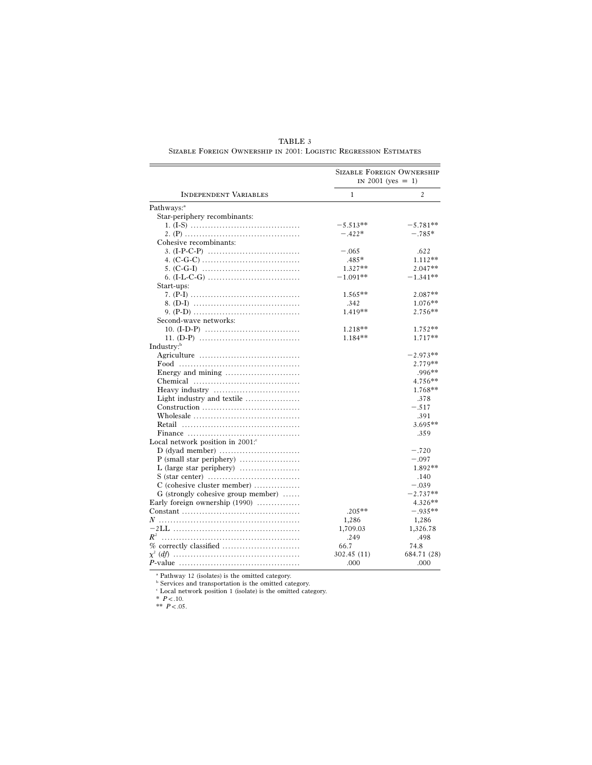|                                                                   | <b>SIZABLE FOREIGN OWNERSHIP</b><br>IN 2001 (yes = 1) |             |
|-------------------------------------------------------------------|-------------------------------------------------------|-------------|
| <b>INDEPENDENT VARIABLES</b>                                      | 1                                                     | 2           |
| Pathways: <sup>a</sup>                                            |                                                       |             |
| Star-periphery recombinants:                                      |                                                       |             |
|                                                                   | $-5.513**$                                            | $-5.781**$  |
|                                                                   | $-.422*$                                              | $-.785*$    |
| Cohesive recombinants:                                            |                                                       |             |
|                                                                   | $-.065$                                               | .622        |
|                                                                   | $.485*$                                               | $1.112**$   |
|                                                                   | $1.327**$                                             | 2.047**     |
|                                                                   | $-1.091**$                                            | $-1.341**$  |
| Start-ups:                                                        |                                                       |             |
|                                                                   | $1.565**$                                             | 2.087**     |
|                                                                   | .342                                                  | 1.076**     |
|                                                                   | 1.419**                                               | 2.756**     |
| Second-wave networks:                                             |                                                       |             |
|                                                                   | 1.218**                                               | $1.752**$   |
|                                                                   | $1.184**$                                             | $1.717**$   |
| Industry: <sup>b</sup>                                            |                                                       |             |
|                                                                   |                                                       | $-2.973**$  |
|                                                                   |                                                       | $2.779**$   |
| Energy and mining $\dots\dots\dots\dots\dots\dots\dots\dots\dots$ |                                                       | .996**      |
|                                                                   |                                                       | 4.756**     |
| Heavy industry                                                    |                                                       | 1.768**     |
| Light industry and textile                                        |                                                       | .378        |
|                                                                   |                                                       | $-.517$     |
|                                                                   |                                                       | .391        |
|                                                                   |                                                       | $3.695**$   |
|                                                                   |                                                       | .359        |
| Local network position in 2001: <sup>c</sup>                      |                                                       |             |
|                                                                   |                                                       | $-.720$     |
|                                                                   |                                                       | $-.097$     |
|                                                                   |                                                       | 1.892**     |
|                                                                   |                                                       | .140        |
| C (cohesive cluster member)                                       |                                                       | $-.039$     |
| G (strongly cohesive group member) $\dots$                        |                                                       | $-2.737**$  |
| Early foreign ownership (1990)                                    |                                                       | 4.326**     |
|                                                                   | $.205**$                                              | $-.935**$   |
|                                                                   | 1,286                                                 | 1,286       |
|                                                                   | 1,709.03                                              | 1,326.78    |
|                                                                   | .249                                                  | .498        |
|                                                                   | 66.7                                                  | 74.8        |
|                                                                   | 302.45 (11)                                           | 684.71 (28) |
|                                                                   | .000                                                  | .000        |

TABLE 3 Sizable Foreign Ownership in 2001: Logistic Regression Estimates

<sup>a</sup> Pathway 12 (isolates) is the omitted category.<br><sup>b</sup> Services and transportation is the omitted category.<br><sup>c</sup> Local network position 1 (isolate) is the omitted category.

 $*$   $P < .10$ .<br> $*$   $*$   $P < .05$ .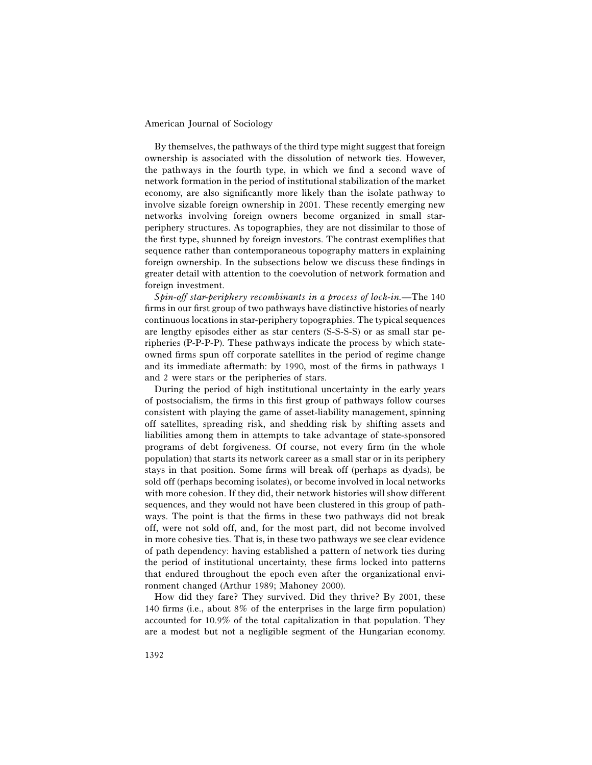By themselves, the pathways of the third type might suggest that foreign ownership is associated with the dissolution of network ties. However, the pathways in the fourth type, in which we find a second wave of network formation in the period of institutional stabilization of the market economy, are also significantly more likely than the isolate pathway to involve sizable foreign ownership in 2001. These recently emerging new networks involving foreign owners become organized in small starperiphery structures. As topographies, they are not dissimilar to those of the first type, shunned by foreign investors. The contrast exemplifies that sequence rather than contemporaneous topography matters in explaining foreign ownership. In the subsections below we discuss these findings in greater detail with attention to the coevolution of network formation and foreign investment.

*Spin-off star-periphery recombinants in a process of lock-in.*—The 140 firms in our first group of two pathways have distinctive histories of nearly continuous locations in star-periphery topographies. The typical sequences are lengthy episodes either as star centers (S-S-S-S) or as small star peripheries (P-P-P-P). These pathways indicate the process by which stateowned firms spun off corporate satellites in the period of regime change and its immediate aftermath: by 1990, most of the firms in pathways 1 and 2 were stars or the peripheries of stars.

During the period of high institutional uncertainty in the early years of postsocialism, the firms in this first group of pathways follow courses consistent with playing the game of asset-liability management, spinning off satellites, spreading risk, and shedding risk by shifting assets and liabilities among them in attempts to take advantage of state-sponsored programs of debt forgiveness. Of course, not every firm (in the whole population) that starts its network career as a small star or in its periphery stays in that position. Some firms will break off (perhaps as dyads), be sold off (perhaps becoming isolates), or become involved in local networks with more cohesion. If they did, their network histories will show different sequences, and they would not have been clustered in this group of pathways. The point is that the firms in these two pathways did not break off, were not sold off, and, for the most part, did not become involved in more cohesive ties. That is, in these two pathways we see clear evidence of path dependency: having established a pattern of network ties during the period of institutional uncertainty, these firms locked into patterns that endured throughout the epoch even after the organizational environment changed (Arthur 1989; Mahoney 2000).

How did they fare? They survived. Did they thrive? By 2001, these 140 firms (i.e., about 8% of the enterprises in the large firm population) accounted for 10.9% of the total capitalization in that population. They are a modest but not a negligible segment of the Hungarian economy.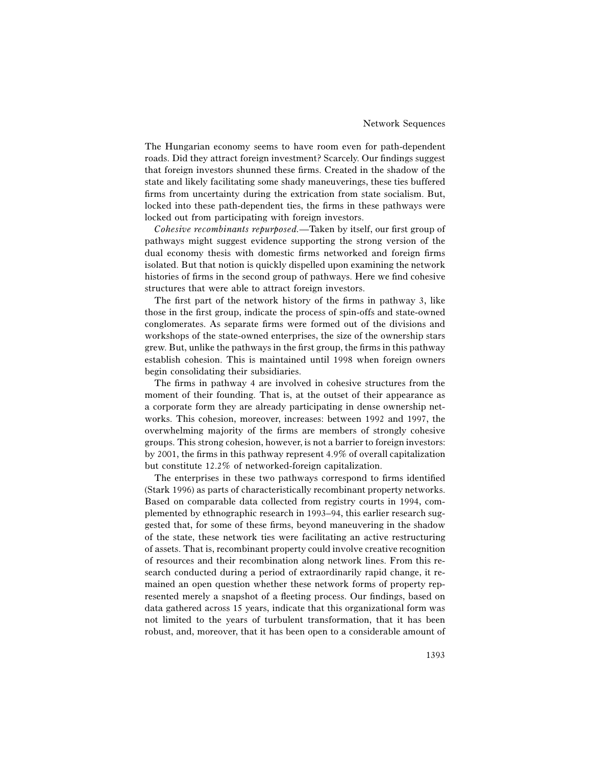The Hungarian economy seems to have room even for path-dependent roads. Did they attract foreign investment? Scarcely. Our findings suggest that foreign investors shunned these firms. Created in the shadow of the state and likely facilitating some shady maneuverings, these ties buffered firms from uncertainty during the extrication from state socialism. But, locked into these path-dependent ties, the firms in these pathways were locked out from participating with foreign investors.

*Cohesive recombinants repurposed.*—Taken by itself, our first group of pathways might suggest evidence supporting the strong version of the dual economy thesis with domestic firms networked and foreign firms isolated. But that notion is quickly dispelled upon examining the network histories of firms in the second group of pathways. Here we find cohesive structures that were able to attract foreign investors.

The first part of the network history of the firms in pathway 3, like those in the first group, indicate the process of spin-offs and state-owned conglomerates. As separate firms were formed out of the divisions and workshops of the state-owned enterprises, the size of the ownership stars grew. But, unlike the pathways in the first group, the firms in this pathway establish cohesion. This is maintained until 1998 when foreign owners begin consolidating their subsidiaries.

The firms in pathway 4 are involved in cohesive structures from the moment of their founding. That is, at the outset of their appearance as a corporate form they are already participating in dense ownership networks. This cohesion, moreover, increases: between 1992 and 1997, the overwhelming majority of the firms are members of strongly cohesive groups. This strong cohesion, however, is not a barrier to foreign investors: by 2001, the firms in this pathway represent 4.9% of overall capitalization but constitute 12.2% of networked-foreign capitalization.

The enterprises in these two pathways correspond to firms identified (Stark 1996) as parts of characteristically recombinant property networks. Based on comparable data collected from registry courts in 1994, complemented by ethnographic research in 1993–94, this earlier research suggested that, for some of these firms, beyond maneuvering in the shadow of the state, these network ties were facilitating an active restructuring of assets. That is, recombinant property could involve creative recognition of resources and their recombination along network lines. From this research conducted during a period of extraordinarily rapid change, it remained an open question whether these network forms of property represented merely a snapshot of a fleeting process. Our findings, based on data gathered across 15 years, indicate that this organizational form was not limited to the years of turbulent transformation, that it has been robust, and, moreover, that it has been open to a considerable amount of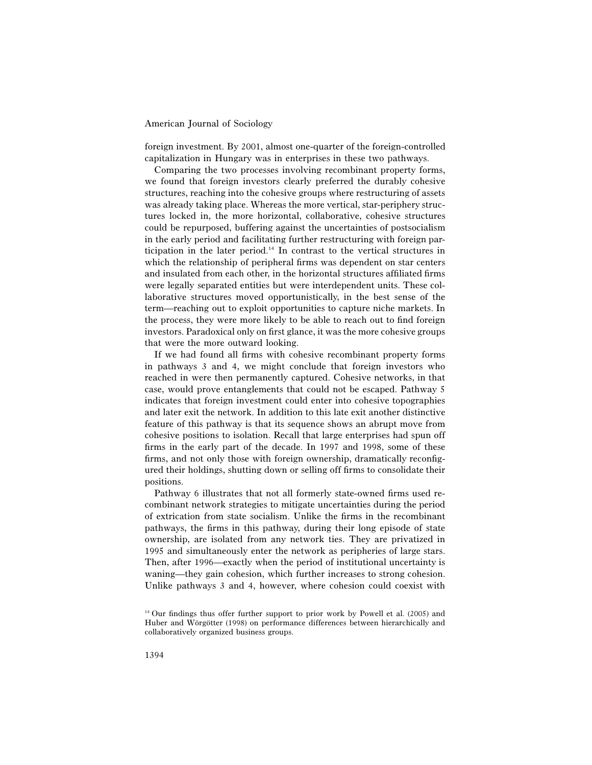foreign investment. By 2001, almost one-quarter of the foreign-controlled capitalization in Hungary was in enterprises in these two pathways.

Comparing the two processes involving recombinant property forms, we found that foreign investors clearly preferred the durably cohesive structures, reaching into the cohesive groups where restructuring of assets was already taking place. Whereas the more vertical, star-periphery structures locked in, the more horizontal, collaborative, cohesive structures could be repurposed, buffering against the uncertainties of postsocialism in the early period and facilitating further restructuring with foreign participation in the later period.<sup>14</sup> In contrast to the vertical structures in which the relationship of peripheral firms was dependent on star centers and insulated from each other, in the horizontal structures affiliated firms were legally separated entities but were interdependent units. These collaborative structures moved opportunistically, in the best sense of the term—reaching out to exploit opportunities to capture niche markets. In the process, they were more likely to be able to reach out to find foreign investors. Paradoxical only on first glance, it was the more cohesive groups that were the more outward looking.

If we had found all firms with cohesive recombinant property forms in pathways 3 and 4, we might conclude that foreign investors who reached in were then permanently captured. Cohesive networks, in that case, would prove entanglements that could not be escaped. Pathway 5 indicates that foreign investment could enter into cohesive topographies and later exit the network. In addition to this late exit another distinctive feature of this pathway is that its sequence shows an abrupt move from cohesive positions to isolation. Recall that large enterprises had spun off firms in the early part of the decade. In 1997 and 1998, some of these firms, and not only those with foreign ownership, dramatically reconfigured their holdings, shutting down or selling off firms to consolidate their positions.

Pathway 6 illustrates that not all formerly state-owned firms used recombinant network strategies to mitigate uncertainties during the period of extrication from state socialism. Unlike the firms in the recombinant pathways, the firms in this pathway, during their long episode of state ownership, are isolated from any network ties. They are privatized in 1995 and simultaneously enter the network as peripheries of large stars. Then, after 1996—exactly when the period of institutional uncertainty is waning—they gain cohesion, which further increases to strong cohesion. Unlike pathways 3 and 4, however, where cohesion could coexist with

<sup>&</sup>lt;sup>14</sup> Our findings thus offer further support to prior work by Powell et al. (2005) and Huber and Wörgötter (1998) on performance differences between hierarchically and collaboratively organized business groups.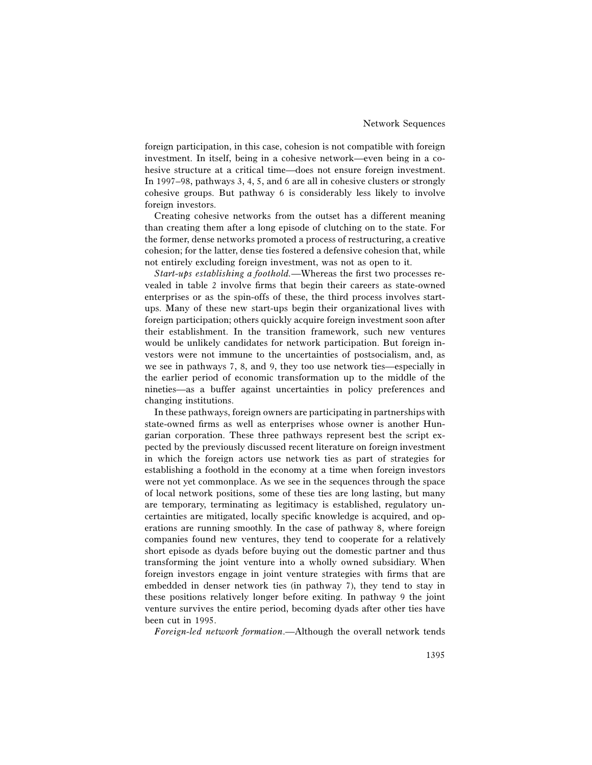foreign participation, in this case, cohesion is not compatible with foreign investment. In itself, being in a cohesive network—even being in a cohesive structure at a critical time—does not ensure foreign investment. In 1997–98, pathways 3, 4, 5, and 6 are all in cohesive clusters or strongly cohesive groups. But pathway 6 is considerably less likely to involve foreign investors.

Creating cohesive networks from the outset has a different meaning than creating them after a long episode of clutching on to the state. For the former, dense networks promoted a process of restructuring, a creative cohesion; for the latter, dense ties fostered a defensive cohesion that, while not entirely excluding foreign investment, was not as open to it.

*Start-ups establishing a foothold.*—Whereas the first two processes revealed in table 2 involve firms that begin their careers as state-owned enterprises or as the spin-offs of these, the third process involves startups. Many of these new start-ups begin their organizational lives with foreign participation; others quickly acquire foreign investment soon after their establishment. In the transition framework, such new ventures would be unlikely candidates for network participation. But foreign investors were not immune to the uncertainties of postsocialism, and, as we see in pathways 7, 8, and 9, they too use network ties—especially in the earlier period of economic transformation up to the middle of the nineties—as a buffer against uncertainties in policy preferences and changing institutions.

In these pathways, foreign owners are participating in partnerships with state-owned firms as well as enterprises whose owner is another Hungarian corporation. These three pathways represent best the script expected by the previously discussed recent literature on foreign investment in which the foreign actors use network ties as part of strategies for establishing a foothold in the economy at a time when foreign investors were not yet commonplace. As we see in the sequences through the space of local network positions, some of these ties are long lasting, but many are temporary, terminating as legitimacy is established, regulatory uncertainties are mitigated, locally specific knowledge is acquired, and operations are running smoothly. In the case of pathway 8, where foreign companies found new ventures, they tend to cooperate for a relatively short episode as dyads before buying out the domestic partner and thus transforming the joint venture into a wholly owned subsidiary. When foreign investors engage in joint venture strategies with firms that are embedded in denser network ties (in pathway 7), they tend to stay in these positions relatively longer before exiting. In pathway 9 the joint venture survives the entire period, becoming dyads after other ties have been cut in 1995.

*Foreign-led network formation*.—Although the overall network tends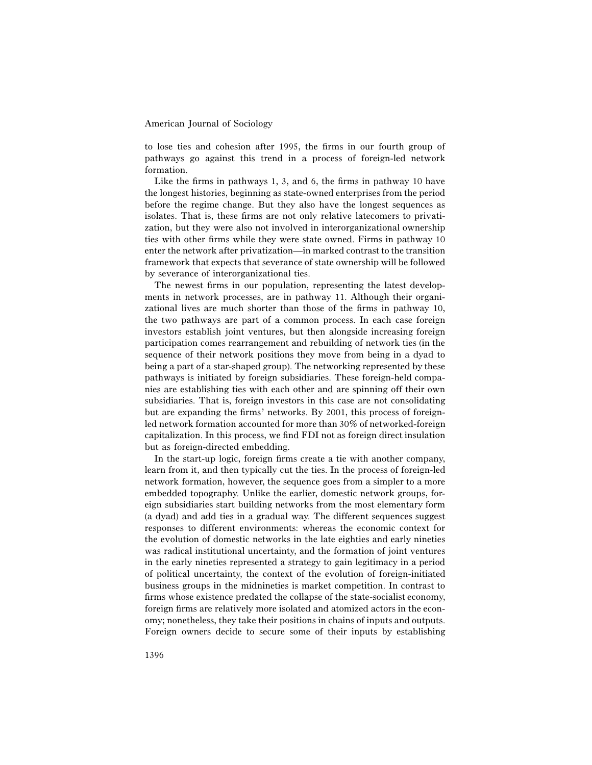to lose ties and cohesion after 1995, the firms in our fourth group of pathways go against this trend in a process of foreign-led network formation.

Like the firms in pathways 1, 3, and 6, the firms in pathway 10 have the longest histories, beginning as state-owned enterprises from the period before the regime change. But they also have the longest sequences as isolates. That is, these firms are not only relative latecomers to privatization, but they were also not involved in interorganizational ownership ties with other firms while they were state owned. Firms in pathway 10 enter the network after privatization—in marked contrast to the transition framework that expects that severance of state ownership will be followed by severance of interorganizational ties.

The newest firms in our population, representing the latest developments in network processes, are in pathway 11. Although their organizational lives are much shorter than those of the firms in pathway 10, the two pathways are part of a common process. In each case foreign investors establish joint ventures, but then alongside increasing foreign participation comes rearrangement and rebuilding of network ties (in the sequence of their network positions they move from being in a dyad to being a part of a star-shaped group). The networking represented by these pathways is initiated by foreign subsidiaries. These foreign-held companies are establishing ties with each other and are spinning off their own subsidiaries. That is, foreign investors in this case are not consolidating but are expanding the firms' networks. By 2001, this process of foreignled network formation accounted for more than 30% of networked-foreign capitalization. In this process, we find FDI not as foreign direct insulation but as foreign-directed embedding.

In the start-up logic, foreign firms create a tie with another company, learn from it, and then typically cut the ties. In the process of foreign-led network formation, however, the sequence goes from a simpler to a more embedded topography. Unlike the earlier, domestic network groups, foreign subsidiaries start building networks from the most elementary form (a dyad) and add ties in a gradual way. The different sequences suggest responses to different environments: whereas the economic context for the evolution of domestic networks in the late eighties and early nineties was radical institutional uncertainty, and the formation of joint ventures in the early nineties represented a strategy to gain legitimacy in a period of political uncertainty, the context of the evolution of foreign-initiated business groups in the midnineties is market competition. In contrast to firms whose existence predated the collapse of the state-socialist economy, foreign firms are relatively more isolated and atomized actors in the economy; nonetheless, they take their positions in chains of inputs and outputs. Foreign owners decide to secure some of their inputs by establishing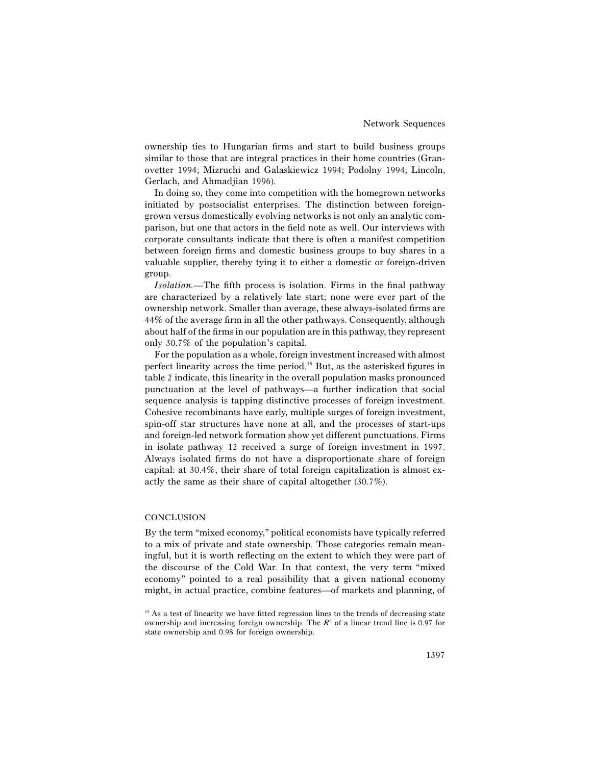ownership ties to Hungarian firms and start to build business groups similar to those that are integral practices in their home countries (Granovetter 1994; Mizruchi and Galaskiewicz 1994; Podolny 1994; Lincoln, Gerlach, and Ahmadjian 1996).

In doing so, they come into competition with the homegrown networks initiated by postsocialist enterprises. The distinction between foreigngrown versus domestically evolving networks is not only an analytic comparison, but one that actors in the field note as well. Our interviews with corporate consultants indicate that there is often a manifest competition between foreign firms and domestic business groups to buy shares in a valuable supplier, thereby tying it to either a domestic or foreign-driven group.

*Isolation.*—The fifth process is isolation. Firms in the final pathway are characterized by a relatively late start; none were ever part of the ownership network. Smaller than average, these always-isolated firms are 44% of the average firm in all the other pathways. Consequently, although about half of the firms in our population are in this pathway, they represent only 30.7% of the population's capital.

For the population as a whole, foreign investment increased with almost perfect linearity across the time period.15 But, as the asterisked figures in table 2 indicate, this linearity in the overall population masks pronounced punctuation at the level of pathways—a further indication that social sequence analysis is tapping distinctive processes of foreign investment. Cohesive recombinants have early, multiple surges of foreign investment, spin-off star structures have none at all, and the processes of start-ups and foreign-led network formation show yet different punctuations. Firms in isolate pathway 12 received a surge of foreign investment in 1997. Always isolated firms do not have a disproportionate share of foreign capital: at 30.4%, their share of total foreign capitalization is almost exactly the same as their share of capital altogether (30.7%).

#### **CONCLUSION**

By the term "mixed economy," political economists have typically referred to a mix of private and state ownership. Those categories remain meaningful, but it is worth reflecting on the extent to which they were part of the discourse of the Cold War. In that context, the very term "mixed economy" pointed to a real possibility that a given national economy might, in actual practice, combine features—of markets and planning, of

<sup>&</sup>lt;sup>15</sup> As a test of linearity we have fitted regression lines to the trends of decreasing state ownership and increasing foreign ownership. The  $R<sup>2</sup>$  of a linear trend line is 0.97 for state ownership and 0.98 for foreign ownership.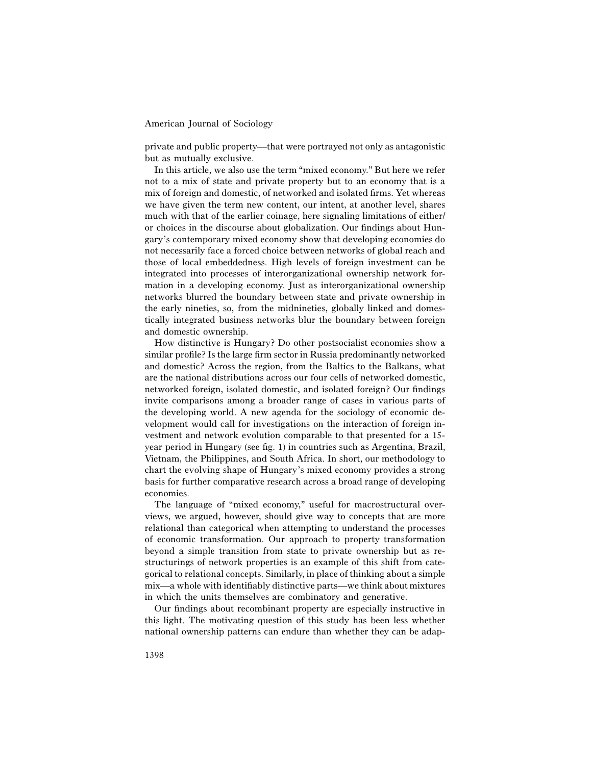private and public property—that were portrayed not only as antagonistic but as mutually exclusive.

In this article, we also use the term "mixed economy." But here we refer not to a mix of state and private property but to an economy that is a mix of foreign and domestic, of networked and isolated firms. Yet whereas we have given the term new content, our intent, at another level, shares much with that of the earlier coinage, here signaling limitations of either/ or choices in the discourse about globalization. Our findings about Hungary's contemporary mixed economy show that developing economies do not necessarily face a forced choice between networks of global reach and those of local embeddedness. High levels of foreign investment can be integrated into processes of interorganizational ownership network formation in a developing economy. Just as interorganizational ownership networks blurred the boundary between state and private ownership in the early nineties, so, from the midnineties, globally linked and domestically integrated business networks blur the boundary between foreign and domestic ownership.

How distinctive is Hungary? Do other postsocialist economies show a similar profile? Is the large firm sector in Russia predominantly networked and domestic? Across the region, from the Baltics to the Balkans, what are the national distributions across our four cells of networked domestic, networked foreign, isolated domestic, and isolated foreign? Our findings invite comparisons among a broader range of cases in various parts of the developing world. A new agenda for the sociology of economic development would call for investigations on the interaction of foreign investment and network evolution comparable to that presented for a 15 year period in Hungary (see fig. 1) in countries such as Argentina, Brazil, Vietnam, the Philippines, and South Africa. In short, our methodology to chart the evolving shape of Hungary's mixed economy provides a strong basis for further comparative research across a broad range of developing economies.

The language of "mixed economy," useful for macrostructural overviews, we argued, however, should give way to concepts that are more relational than categorical when attempting to understand the processes of economic transformation. Our approach to property transformation beyond a simple transition from state to private ownership but as restructurings of network properties is an example of this shift from categorical to relational concepts. Similarly, in place of thinking about a simple mix—a whole with identifiably distinctive parts—we think about mixtures in which the units themselves are combinatory and generative.

Our findings about recombinant property are especially instructive in this light. The motivating question of this study has been less whether national ownership patterns can endure than whether they can be adap-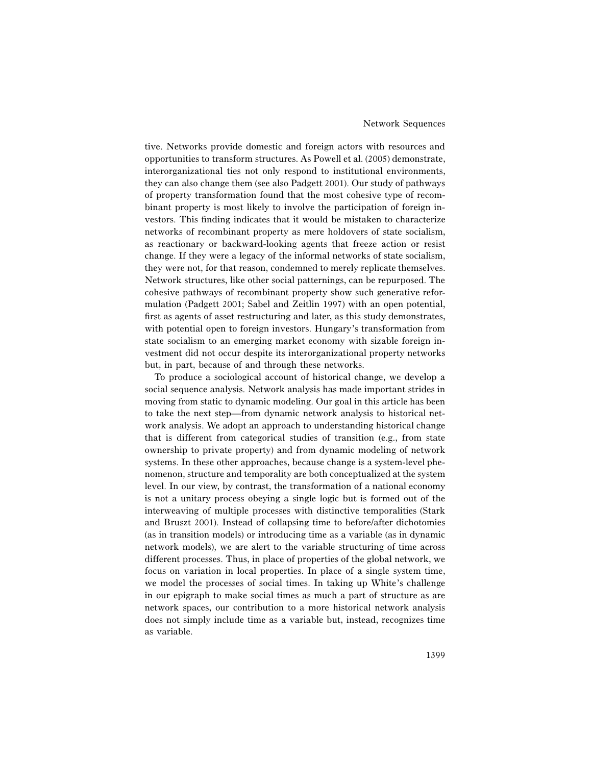## Network Sequences

tive. Networks provide domestic and foreign actors with resources and opportunities to transform structures. As Powell et al. (2005) demonstrate, interorganizational ties not only respond to institutional environments, they can also change them (see also Padgett 2001). Our study of pathways of property transformation found that the most cohesive type of recombinant property is most likely to involve the participation of foreign investors. This finding indicates that it would be mistaken to characterize networks of recombinant property as mere holdovers of state socialism, as reactionary or backward-looking agents that freeze action or resist change. If they were a legacy of the informal networks of state socialism, they were not, for that reason, condemned to merely replicate themselves. Network structures, like other social patternings, can be repurposed. The cohesive pathways of recombinant property show such generative reformulation (Padgett 2001; Sabel and Zeitlin 1997) with an open potential, first as agents of asset restructuring and later, as this study demonstrates, with potential open to foreign investors. Hungary's transformation from state socialism to an emerging market economy with sizable foreign investment did not occur despite its interorganizational property networks but, in part, because of and through these networks.

To produce a sociological account of historical change, we develop a social sequence analysis. Network analysis has made important strides in moving from static to dynamic modeling. Our goal in this article has been to take the next step—from dynamic network analysis to historical network analysis. We adopt an approach to understanding historical change that is different from categorical studies of transition (e.g., from state ownership to private property) and from dynamic modeling of network systems. In these other approaches, because change is a system-level phenomenon, structure and temporality are both conceptualized at the system level. In our view, by contrast, the transformation of a national economy is not a unitary process obeying a single logic but is formed out of the interweaving of multiple processes with distinctive temporalities (Stark and Bruszt 2001). Instead of collapsing time to before/after dichotomies (as in transition models) or introducing time as a variable (as in dynamic network models), we are alert to the variable structuring of time across different processes. Thus, in place of properties of the global network, we focus on variation in local properties. In place of a single system time, we model the processes of social times. In taking up White's challenge in our epigraph to make social times as much a part of structure as are network spaces, our contribution to a more historical network analysis does not simply include time as a variable but, instead, recognizes time as variable.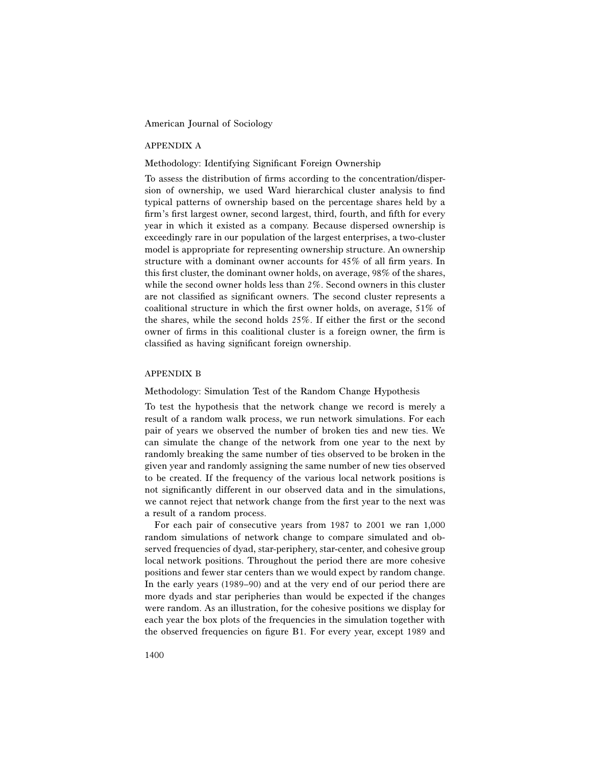# APPENDIX A

#### Methodology: Identifying Significant Foreign Ownership

To assess the distribution of firms according to the concentration/dispersion of ownership, we used Ward hierarchical cluster analysis to find typical patterns of ownership based on the percentage shares held by a firm's first largest owner, second largest, third, fourth, and fifth for every year in which it existed as a company. Because dispersed ownership is exceedingly rare in our population of the largest enterprises, a two-cluster model is appropriate for representing ownership structure. An ownership structure with a dominant owner accounts for 45% of all firm years. In this first cluster, the dominant owner holds, on average, 98% of the shares, while the second owner holds less than 2%. Second owners in this cluster are not classified as significant owners. The second cluster represents a coalitional structure in which the first owner holds, on average, 51% of the shares, while the second holds 25%. If either the first or the second owner of firms in this coalitional cluster is a foreign owner, the firm is classified as having significant foreign ownership.

#### APPENDIX B

#### Methodology: Simulation Test of the Random Change Hypothesis

To test the hypothesis that the network change we record is merely a result of a random walk process, we run network simulations. For each pair of years we observed the number of broken ties and new ties. We can simulate the change of the network from one year to the next by randomly breaking the same number of ties observed to be broken in the given year and randomly assigning the same number of new ties observed to be created. If the frequency of the various local network positions is not significantly different in our observed data and in the simulations, we cannot reject that network change from the first year to the next was a result of a random process.

For each pair of consecutive years from 1987 to 2001 we ran 1,000 random simulations of network change to compare simulated and observed frequencies of dyad, star-periphery, star-center, and cohesive group local network positions. Throughout the period there are more cohesive positions and fewer star centers than we would expect by random change. In the early years (1989–90) and at the very end of our period there are more dyads and star peripheries than would be expected if the changes were random. As an illustration, for the cohesive positions we display for each year the box plots of the frequencies in the simulation together with the observed frequencies on figure B1. For every year, except 1989 and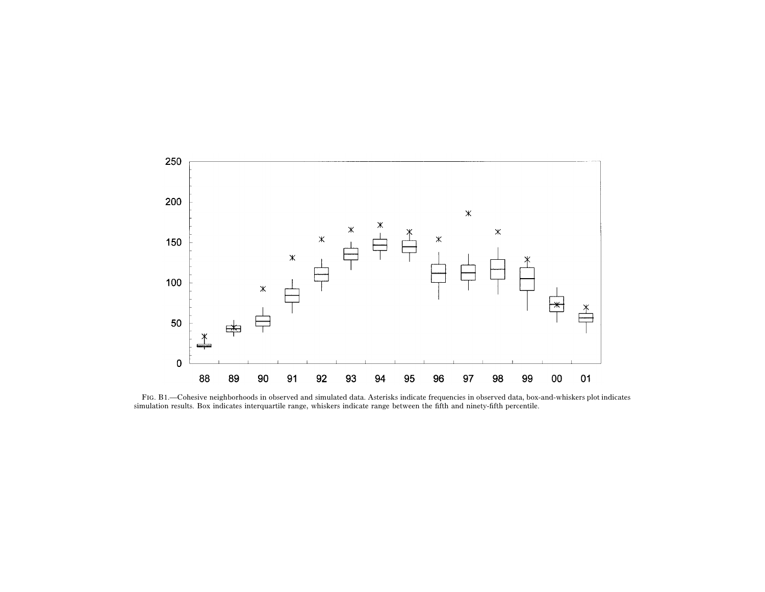

Fig. B1.—Cohesive neighborhoods in observed and simulated data. Asterisks indicate frequencies in observed data, box-and-whiskers plot indicates simulation results. Box indicates interquartile range, whiskers indicate range between the fifth and ninety-fifth percentile.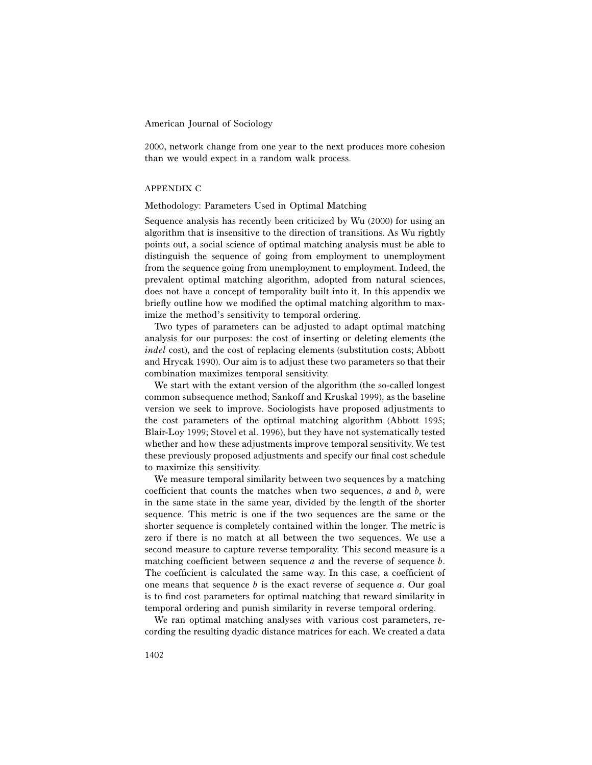2000, network change from one year to the next produces more cohesion than we would expect in a random walk process.

#### APPENDIX C

#### Methodology: Parameters Used in Optimal Matching

Sequence analysis has recently been criticized by Wu (2000) for using an algorithm that is insensitive to the direction of transitions. As Wu rightly points out, a social science of optimal matching analysis must be able to distinguish the sequence of going from employment to unemployment from the sequence going from unemployment to employment. Indeed, the prevalent optimal matching algorithm, adopted from natural sciences, does not have a concept of temporality built into it. In this appendix we briefly outline how we modified the optimal matching algorithm to maximize the method's sensitivity to temporal ordering.

Two types of parameters can be adjusted to adapt optimal matching analysis for our purposes: the cost of inserting or deleting elements (the *indel* cost), and the cost of replacing elements (substitution costs; Abbott and Hrycak 1990). Our aim is to adjust these two parameters so that their combination maximizes temporal sensitivity.

We start with the extant version of the algorithm (the so-called longest common subsequence method; Sankoff and Kruskal 1999), as the baseline version we seek to improve. Sociologists have proposed adjustments to the cost parameters of the optimal matching algorithm (Abbott 1995; Blair-Loy 1999; Stovel et al. 1996), but they have not systematically tested whether and how these adjustments improve temporal sensitivity. We test these previously proposed adjustments and specify our final cost schedule to maximize this sensitivity.

We measure temporal similarity between two sequences by a matching coefficient that counts the matches when two sequences, *a* and *b,* were in the same state in the same year, divided by the length of the shorter sequence. This metric is one if the two sequences are the same or the shorter sequence is completely contained within the longer. The metric is zero if there is no match at all between the two sequences. We use a second measure to capture reverse temporality. This second measure is a matching coefficient between sequence *a* and the reverse of sequence *b*. The coefficient is calculated the same way. In this case, a coefficient of one means that sequence *b* is the exact reverse of sequence *a*. Our goal is to find cost parameters for optimal matching that reward similarity in temporal ordering and punish similarity in reverse temporal ordering.

We ran optimal matching analyses with various cost parameters, recording the resulting dyadic distance matrices for each. We created a data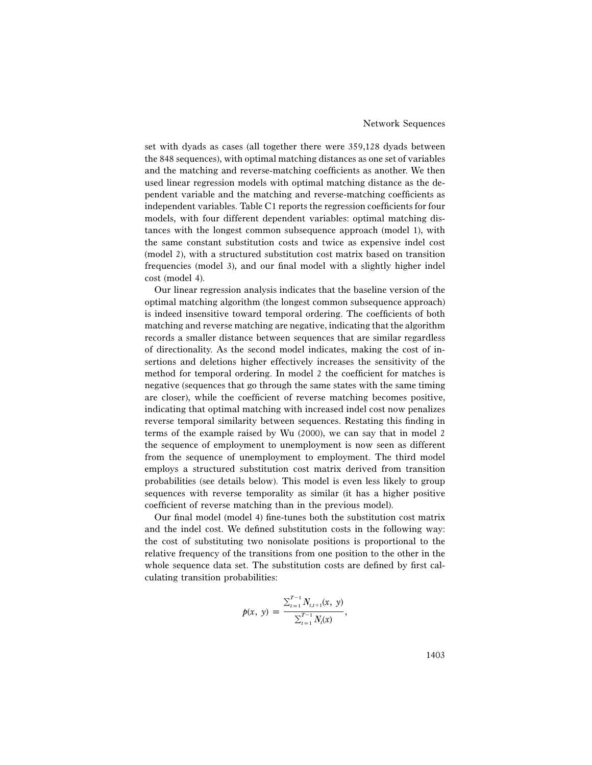set with dyads as cases (all together there were 359,128 dyads between the 848 sequences), with optimal matching distances as one set of variables and the matching and reverse-matching coefficients as another. We then used linear regression models with optimal matching distance as the dependent variable and the matching and reverse-matching coefficients as independent variables. Table C1 reports the regression coefficients for four models, with four different dependent variables: optimal matching distances with the longest common subsequence approach (model 1), with the same constant substitution costs and twice as expensive indel cost (model 2), with a structured substitution cost matrix based on transition frequencies (model 3), and our final model with a slightly higher indel cost (model 4).

Our linear regression analysis indicates that the baseline version of the optimal matching algorithm (the longest common subsequence approach) is indeed insensitive toward temporal ordering. The coefficients of both matching and reverse matching are negative, indicating that the algorithm records a smaller distance between sequences that are similar regardless of directionality. As the second model indicates, making the cost of insertions and deletions higher effectively increases the sensitivity of the method for temporal ordering. In model 2 the coefficient for matches is negative (sequences that go through the same states with the same timing are closer), while the coefficient of reverse matching becomes positive, indicating that optimal matching with increased indel cost now penalizes reverse temporal similarity between sequences. Restating this finding in terms of the example raised by Wu (2000), we can say that in model 2 the sequence of employment to unemployment is now seen as different from the sequence of unemployment to employment. The third model employs a structured substitution cost matrix derived from transition probabilities (see details below). This model is even less likely to group sequences with reverse temporality as similar (it has a higher positive coefficient of reverse matching than in the previous model).

Our final model (model 4) fine-tunes both the substitution cost matrix and the indel cost. We defined substitution costs in the following way: the cost of substituting two nonisolate positions is proportional to the relative frequency of the transitions from one position to the other in the whole sequence data set. The substitution costs are defined by first calculating transition probabilities:

$$
p(x, y) = \frac{\sum_{t=1}^{T-1} N_{t,t+1}(x, y)}{\sum_{t=1}^{T-1} N_t(x)},
$$

1403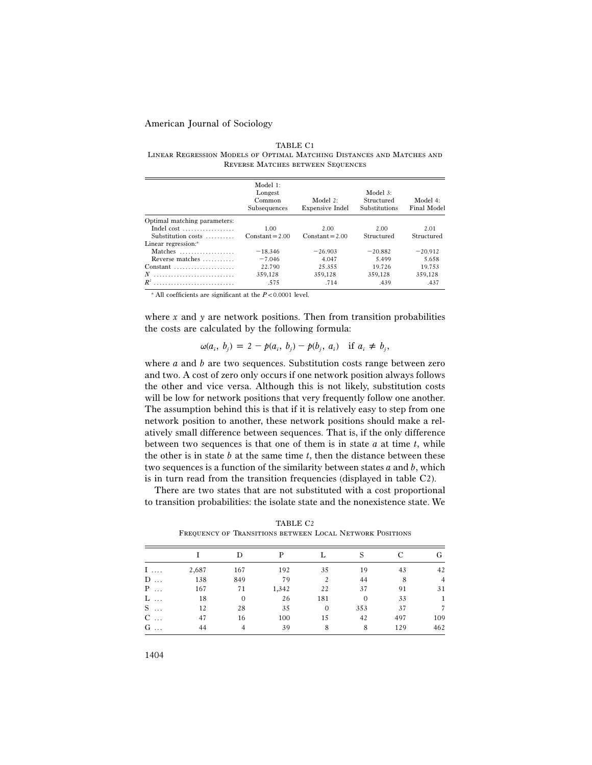TABLE C1 Linear Regression Models of Optimal Matching Distances and Matches and Reverse Matches between Sequences

|                                             | Model 1:<br>Longest<br>Common<br>Subsequences | Model 2:<br><b>Expensive Indel</b> | Model 3:<br>Structured<br>Substitutions | Model 4:<br><b>Final Model</b> |
|---------------------------------------------|-----------------------------------------------|------------------------------------|-----------------------------------------|--------------------------------|
| Optimal matching parameters:                |                                               |                                    |                                         |                                |
| Indel cost $\dots\dots\dots\dots\dots\dots$ | 1.00                                          | 2.00                               | 2.00                                    | 2.01                           |
| Substitution costs                          | $Constant = 2.00$                             | $Constant = 2.00$                  | Structured                              | Structured                     |
| Linear regression: <sup>a</sup>             |                                               |                                    |                                         |                                |
| Matches                                     | $-18.346$                                     | $-26.903$                          | $-20.882$                               | $-20.912$                      |
| Reverse matches                             | $-7.046$                                      | 4.047                              | 5.499                                   | 5.658                          |
|                                             | 22.790                                        | 25.355                             | 19.726                                  | 19.753                         |
| $N$                                         | 359,128                                       | 359,128                            | 359,128                                 | 359,128                        |
| $R^2$                                       | .575                                          | .714                               | .439                                    | .437                           |

 $^{\circ}$  All coefficients are significant at the  $P < 0.0001$  level.

where  $x$  and  $y$  are network positions. Then from transition probabilities the costs are calculated by the following formula:

$$
\omega(a_i, b_j) = 2 - p(a_i, b_j) - p(b_j, a_i) \quad \text{if } a_i \neq b_j,
$$

where *a* and *b* are two sequences. Substitution costs range between zero and two. A cost of zero only occurs if one network position always follows the other and vice versa. Although this is not likely, substitution costs will be low for network positions that very frequently follow one another. The assumption behind this is that if it is relatively easy to step from one network position to another, these network positions should make a relatively small difference between sequences. That is, if the only difference between two sequences is that one of them is in state *a* at time *t*, while the other is in state  $b$  at the same time  $t$ , then the distance between these two sequences is a function of the similarity between states *a* and *b*, which is in turn read from the transition frequencies (displayed in table C2).

There are two states that are not substituted with a cost proportional to transition probabilities: the isolate state and the nonexistence state. We

|            |       |                |       |                |          |     | G              |
|------------|-------|----------------|-------|----------------|----------|-----|----------------|
| I          | 2,687 | 167            | 192   | 35             | 19       | 43  | 42             |
| $D \ldots$ | 138   | 849            | 79    | 2              | 44       | 8   | $\overline{4}$ |
| P          | 167   | 71             | 1,342 | 22             | 37       | 91  | 31             |
| L          | 18    | $\overline{0}$ | 26    | 181            | $\Omega$ | 33  | 1              |
| S          | 12    | 28             | 35    | $\overline{0}$ | 353      | 37  | 7              |
| $C$        | 47    | 16             | 100   | 15             | 42       | 497 | 109            |
| $G \ldots$ | 44    | 4              | 39    | 8              | 8        | 129 | 462            |
|            |       |                |       |                |          |     |                |

TABLE C2 Frequency of Transitions between Local Network Positions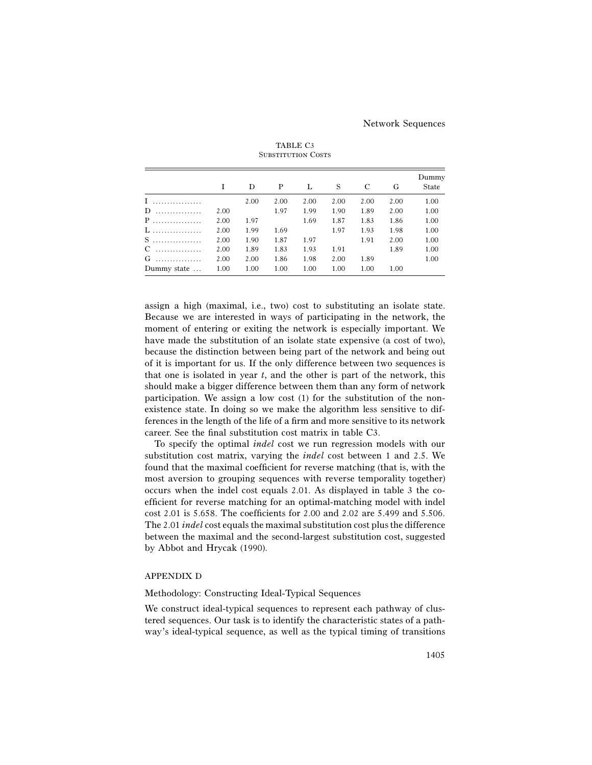Network Sequences

|             |      |      |      |      |      |      |      | Dummy |
|-------------|------|------|------|------|------|------|------|-------|
|             |      | Ð    | P    | L    | S    |      | G    | State |
| $I$         |      | 2.00 | 2.00 | 2.00 | 2.00 | 2.00 | 2.00 | 1.00  |
| $D$         | 2.00 |      | 1.97 | 1.99 | 1.90 | 1.89 | 2.00 | 1.00  |
| $P$         | 2.00 | 1.97 |      | 1.69 | 1.87 | 1.83 | 1.86 | 1.00  |
| $L$         | 2.00 | 1.99 | 1.69 |      | 1.97 | 1.93 | 1.98 | 1.00  |
| $S$         | 2.00 | 1.90 | 1.87 | 1.97 |      | 1.91 | 2.00 | 1.00  |
| $C$         | 2.00 | 1.89 | 1.83 | 1.93 | 1.91 |      | 1.89 | 1.00  |
| $G$         | 2.00 | 2.00 | 1.86 | 1.98 | 2.00 | 1.89 |      | 1.00  |
| Dummy state | 1.00 | 1.00 | 1.00 | 1.00 | 1.00 | 1.00 | 1.00 |       |

TABLE C3 SUBSTITUTION COSTS

assign a high (maximal, i.e., two) cost to substituting an isolate state. Because we are interested in ways of participating in the network, the moment of entering or exiting the network is especially important. We have made the substitution of an isolate state expensive (a cost of two), because the distinction between being part of the network and being out of it is important for us. If the only difference between two sequences is that one is isolated in year *t*, and the other is part of the network, this should make a bigger difference between them than any form of network participation. We assign a low cost (1) for the substitution of the nonexistence state. In doing so we make the algorithm less sensitive to differences in the length of the life of a firm and more sensitive to its network career. See the final substitution cost matrix in table C3.

To specify the optimal *indel* cost we run regression models with our substitution cost matrix, varying the *indel* cost between 1 and 2.5. We found that the maximal coefficient for reverse matching (that is, with the most aversion to grouping sequences with reverse temporality together) occurs when the indel cost equals 2.01. As displayed in table 3 the coefficient for reverse matching for an optimal-matching model with indel cost 2.01 is 5.658. The coefficients for 2.00 and 2.02 are 5.499 and 5.506. The 2.01 *indel* cost equals the maximal substitution cost plus the difference between the maximal and the second-largest substitution cost, suggested by Abbot and Hrycak (1990).

#### APPENDIX D

#### Methodology: Constructing Ideal-Typical Sequences

We construct ideal-typical sequences to represent each pathway of clustered sequences. Our task is to identify the characteristic states of a pathway's ideal-typical sequence, as well as the typical timing of transitions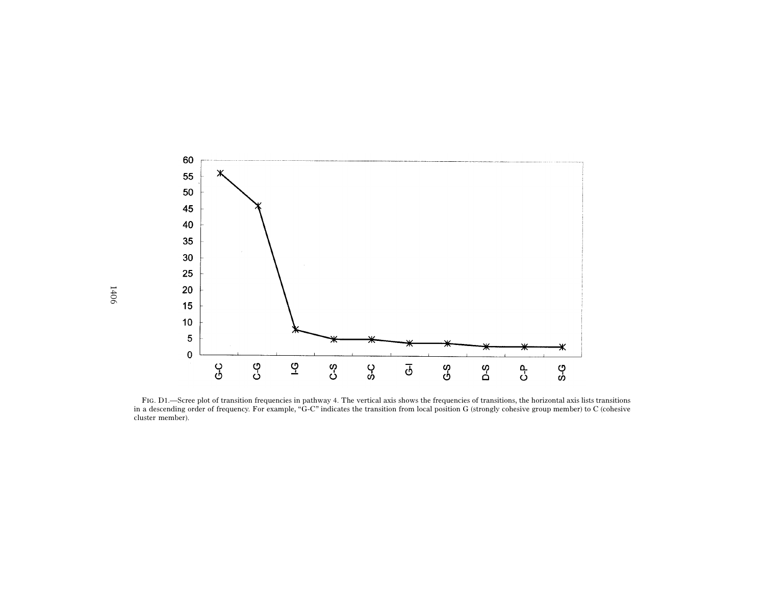

Fig. D1.—Scree plot of transition frequencies in pathway 4. The vertical axis shows the frequencies of transitions, the horizontal axis lists transitions in <sup>a</sup> descending order of frequency. For example, "G-C" indicates the transition from local position G (strongly cohesive group member) to C (cohesive cluster member).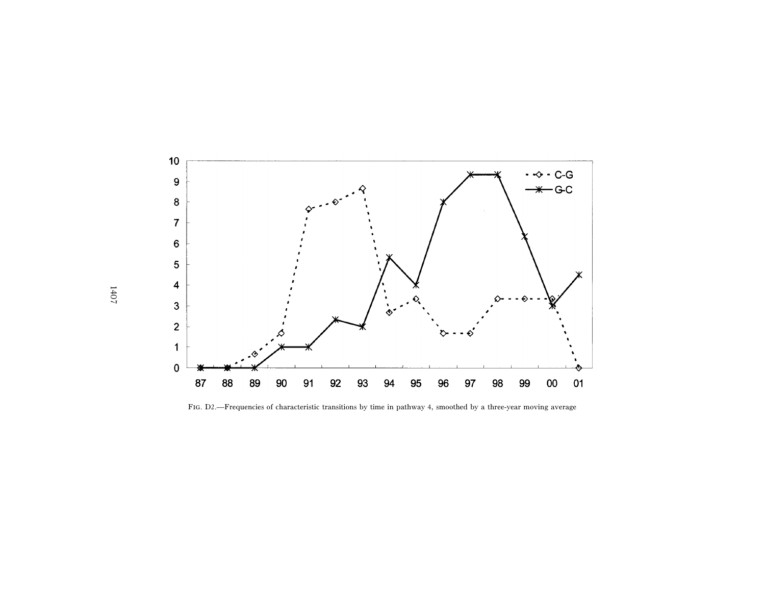

Fig. D2.—Frequencies of characteristic transitions by time in pathway 4, smoothed by <sup>a</sup> three-year moving average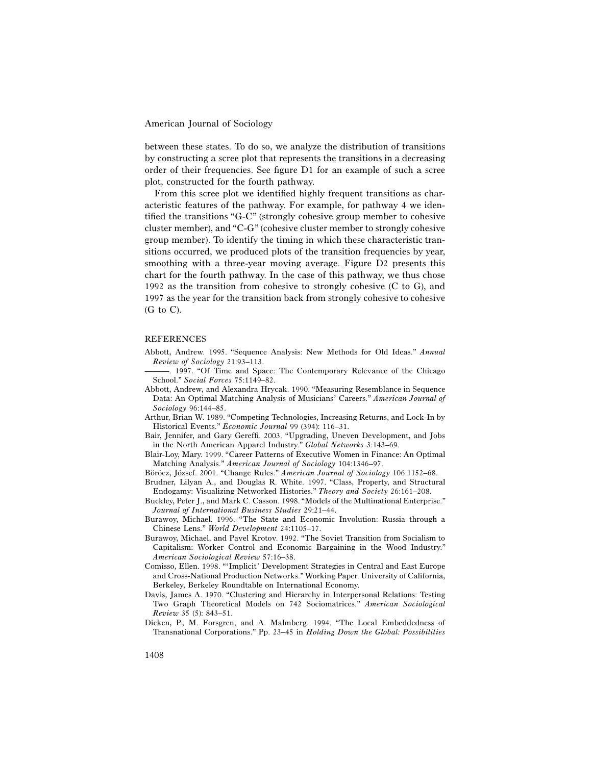between these states. To do so, we analyze the distribution of transitions by constructing a scree plot that represents the transitions in a decreasing order of their frequencies. See figure D1 for an example of such a scree plot, constructed for the fourth pathway.

From this scree plot we identified highly frequent transitions as characteristic features of the pathway. For example, for pathway 4 we identified the transitions "G-C" (strongly cohesive group member to cohesive cluster member), and "C-G" (cohesive cluster member to strongly cohesive group member). To identify the timing in which these characteristic transitions occurred, we produced plots of the transition frequencies by year, smoothing with a three-year moving average. Figure D2 presents this chart for the fourth pathway. In the case of this pathway, we thus chose 1992 as the transition from cohesive to strongly cohesive  $(C$  to  $G$ ), and 1997 as the year for the transition back from strongly cohesive to cohesive  $(G$  to  $C)$ .

## REFERENCES

- Abbott, Andrew. 1995. "Sequence Analysis: New Methods for Old Ideas." *Annual Review of Sociology* 21:93–113.
- ———. 1997. "Of Time and Space: The Contemporary Relevance of the Chicago School." *Social Forces* 75:1149–82.
- Abbott, Andrew, and Alexandra Hrycak. 1990. "Measuring Resemblance in Sequence Data: An Optimal Matching Analysis of Musicians' Careers." *American Journal of Sociology* 96:144–85.
- Arthur, Brian W. 1989. "Competing Technologies, Increasing Returns, and Lock-In by Historical Events." *Economic Journal* 99 (394): 116–31.
- Bair, Jennifer, and Gary Gereffi. 2003. "Upgrading, Uneven Development, and Jobs in the North American Apparel Industry." *Global Networks* 3:143–69.
- Blair-Loy, Mary. 1999. "Career Patterns of Executive Women in Finance: An Optimal Matching Analysis." *American Journal of Sociology* 104:1346–97.
- Böröcz, József. 2001. "Change Rules." American Journal of Sociology 106:1152-68.
- Brudner, Lilyan A., and Douglas R. White. 1997. "Class, Property, and Structural Endogamy: Visualizing Networked Histories." *Theory and Society* 26:161–208.
- Buckley, Peter J., and Mark C. Casson. 1998. "Models of the Multinational Enterprise." *Journal of International Business Studies* 29:21–44.
- Burawoy, Michael. 1996. "The State and Economic Involution: Russia through a Chinese Lens." *World Development* 24:1105–17.
- Burawoy, Michael, and Pavel Krotov. 1992. "The Soviet Transition from Socialism to Capitalism: Worker Control and Economic Bargaining in the Wood Industry." *American Sociological Review* 57:16–38.
- Comisso, Ellen. 1998. "'Implicit' Development Strategies in Central and East Europe and Cross-National Production Networks." Working Paper. University of California, Berkeley, Berkeley Roundtable on International Economy.
- Davis, James A. 1970. "Clustering and Hierarchy in Interpersonal Relations: Testing Two Graph Theoretical Models on 742 Sociomatrices." *American Sociological Review* 35 (5): 843–51.
- Dicken, P., M. Forsgren, and A. Malmberg. 1994. "The Local Embeddedness of Transnational Corporations." Pp. 23–45 in *Holding Down the Global: Possibilities*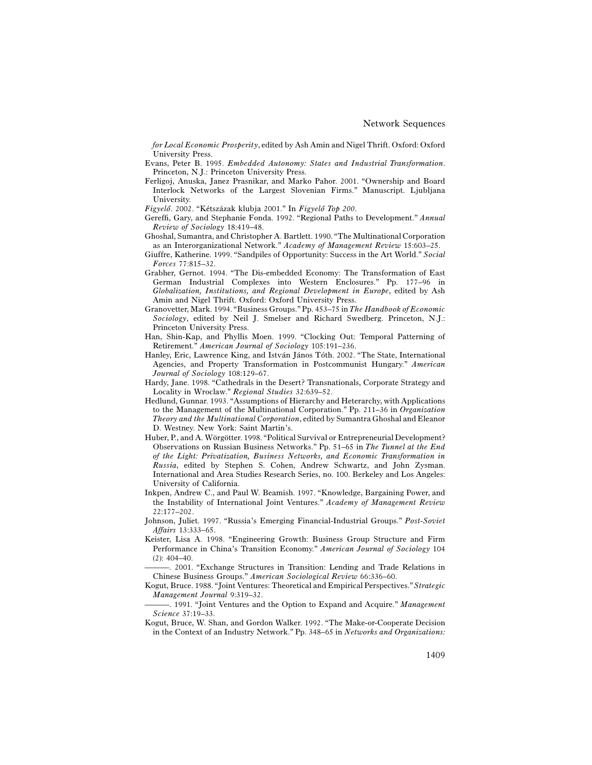*for Local Economic Prosperity*, edited by Ash Amin and Nigel Thrift. Oxford: Oxford University Press.

- Evans, Peter B. 1995. *Embedded Autonomy: States and Industrial Transformation*. Princeton, N.J.: Princeton University Press.
- Ferligoj, Anuska, Janez Prasnikar, and Marko Pahor. 2001. "Ownership and Board Interlock Networks of the Largest Slovenian Firms." Manuscript. Ljubljana University.
- *Figyelo˝*. 2002. "Ke´tsza´zak klubja 2001." In *Figyelo˝ Top 200*.
- Gereffi, Gary, and Stephanie Fonda. 1992. "Regional Paths to Development." *Annual Review of Sociology* 18:419–48.
- Ghoshal, Sumantra, and Christopher A. Bartlett. 1990. "The Multinational Corporation as an Interorganizational Network." *Academy of Management Review* 15:603–25.
- Giuffre, Katherine. 1999. "Sandpiles of Opportunity: Success in the Art World." *Social Forces* 77:815–32.
- Grabher, Gernot. 1994. "The Dis-embedded Economy: The Transformation of East German Industrial Complexes into Western Enclosures." Pp. 177–96 in *Globalization, Institutions, and Regional Development in Europe*, edited by Ash Amin and Nigel Thrift. Oxford: Oxford University Press.
- Granovetter, Mark. 1994. "Business Groups." Pp. 453–75 in *The Handbook of Economic Sociology*, edited by Neil J. Smelser and Richard Swedberg. Princeton, N.J.: Princeton University Press.
- Han, Shin-Kap, and Phyllis Moen. 1999. "Clocking Out: Temporal Patterning of Retirement." *American Journal of Sociology* 105:191–236.
- Hanley, Eric, Lawrence King, and István János Tóth. 2002. "The State, International Agencies, and Property Transformation in Postcommunist Hungary." *American Journal of Sociology* 108:129–67.
- Hardy, Jane. 1998. "Cathedrals in the Desert? Transnationals, Corporate Strategy and Locality in Wroclaw." *Regional Studies* 32:639–52.
- Hedlund, Gunnar. 1993. "Assumptions of Hierarchy and Heterarchy, with Applications to the Management of the Multinational Corporation." Pp. 211–36 in *Organization Theory and the Multinational Corporation*, edited by Sumantra Ghoshal and Eleanor D. Westney. New York: Saint Martin's.
- Huber, P., and A. Wörgötter. 1998. "Political Survival or Entrepreneurial Development? Observations on Russian Business Networks." Pp. 51–65 in *The Tunnel at the End of the Light: Privatization, Business Networks, and Economic Transformation in Russia*, edited by Stephen S. Cohen, Andrew Schwartz, and John Zysman. International and Area Studies Research Series, no. 100. Berkeley and Los Angeles: University of California.
- Inkpen, Andrew C., and Paul W. Beamish. 1997. "Knowledge, Bargaining Power, and the Instability of International Joint Ventures." *Academy of Management Review* 22:177–202.
- Johnson, Juliet. 1997. "Russia's Emerging Financial-Industrial Groups." *Post-Soviet Affairs* 13:333–65.
- Keister, Lisa A. 1998. "Engineering Growth: Business Group Structure and Firm Performance in China's Transition Economy." *American Journal of Sociology* 104 (2): 404–40.

———. 2001. "Exchange Structures in Transition: Lending and Trade Relations in Chinese Business Groups." *American Sociological Review* 66:336–60.

Kogut, Bruce. 1988. "Joint Ventures: Theoretical and Empirical Perspectives."*Strategic Management Journal* 9:319–32.

———. 1991. "Joint Ventures and the Option to Expand and Acquire." *Management Science* 37:19–33.

Kogut, Bruce, W. Shan, and Gordon Walker. 1992. "The Make-or-Cooperate Decision in the Context of an Industry Network." Pp. 348–65 in *Networks and Organizations:*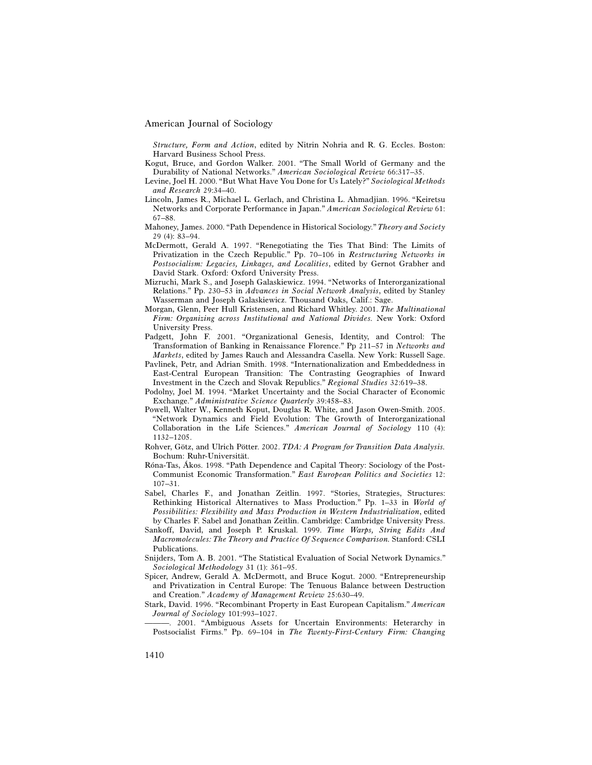*Structure, Form and Action*, edited by Nitrin Nohria and R. G. Eccles. Boston: Harvard Business School Press.

Kogut, Bruce, and Gordon Walker. 2001. "The Small World of Germany and the Durability of National Networks." *American Sociological Review* 66:317–35.

- Levine, Joel H. 2000. "But What Have You Done for Us Lately?" *Sociological Methods and Research* 29:34–40.
- Lincoln, James R., Michael L. Gerlach, and Christina L. Ahmadjian. 1996. "Keiretsu Networks and Corporate Performance in Japan." *American Sociological Review* 61: 67–88.
- Mahoney, James. 2000. "Path Dependence in Historical Sociology." *Theory and Society* 29 (4): 83–94.
- McDermott, Gerald A. 1997. "Renegotiating the Ties That Bind: The Limits of Privatization in the Czech Republic." Pp. 70–106 in *Restructuring Networks in Postsocialism: Legacies, Linkages, and Localities*, edited by Gernot Grabher and David Stark. Oxford: Oxford University Press.
- Mizruchi, Mark S., and Joseph Galaskiewicz. 1994. "Networks of Interorganizational Relations." Pp. 230–53 in *Advances in Social Network Analysis*, edited by Stanley Wasserman and Joseph Galaskiewicz. Thousand Oaks, Calif.: Sage.
- Morgan, Glenn, Peer Hull Kristensen, and Richard Whitley. 2001. *The Multinational Firm: Organizing across Institutional and National Divides.* New York: Oxford University Press.
- Padgett, John F. 2001. "Organizational Genesis, Identity, and Control: The Transformation of Banking in Renaissance Florence." Pp 211–57 in *Networks and Markets*, edited by James Rauch and Alessandra Casella. New York: Russell Sage.
- Pavlinek, Petr, and Adrian Smith. 1998. "Internationalization and Embeddedness in East-Central European Transition: The Contrasting Geographies of Inward Investment in the Czech and Slovak Republics." *Regional Studies* 32:619–38.
- Podolny, Joel M. 1994. "Market Uncertainty and the Social Character of Economic Exchange." *Administrative Science Quarterly* 39:458–83.
- Powell, Walter W., Kenneth Koput, Douglas R. White, and Jason Owen-Smith. 2005. "Network Dynamics and Field Evolution: The Growth of Interorganizational Collaboration in the Life Sciences." *American Journal of Sociology* 110 (4): 1132–1205.
- Rohver, Götz, and Ulrich Pötter. 2002. *TDA: A Program for Transition Data Analysis.* Bochum: Ruhr-Universität.
- Róna-Tas, Ákos. 1998. "Path Dependence and Capital Theory: Sociology of the Post-Communist Economic Transformation." *East European Politics and Societies* 12: 107–31.
- Sabel, Charles F., and Jonathan Zeitlin. 1997. "Stories, Strategies, Structures: Rethinking Historical Alternatives to Mass Production." Pp. 1–33 in *World of Possibilities: Flexibility and Mass Production in Western Industrialization*, edited by Charles F. Sabel and Jonathan Zeitlin. Cambridge: Cambridge University Press.
- Sankoff, David, and Joseph P. Kruskal. 1999. *Time Warps, String Edits And Macromolecules: The Theory and Practice Of Sequence Comparison.* Stanford: CSLI Publications.
- Snijders, Tom A. B. 2001. "The Statistical Evaluation of Social Network Dynamics." *Sociological Methodology* 31 (1): 361–95.
- Spicer, Andrew, Gerald A. McDermott, and Bruce Kogut. 2000. "Entrepreneurship and Privatization in Central Europe: The Tenuous Balance between Destruction and Creation." *Academy of Management Review* 25:630–49.
- Stark, David. 1996. "Recombinant Property in East European Capitalism." *American Journal of Sociology* 101:993–1027.
- ———. 2001. "Ambiguous Assets for Uncertain Environments: Heterarchy in Postsocialist Firms." Pp. 69–104 in *The Twenty-First-Century Firm: Changing*